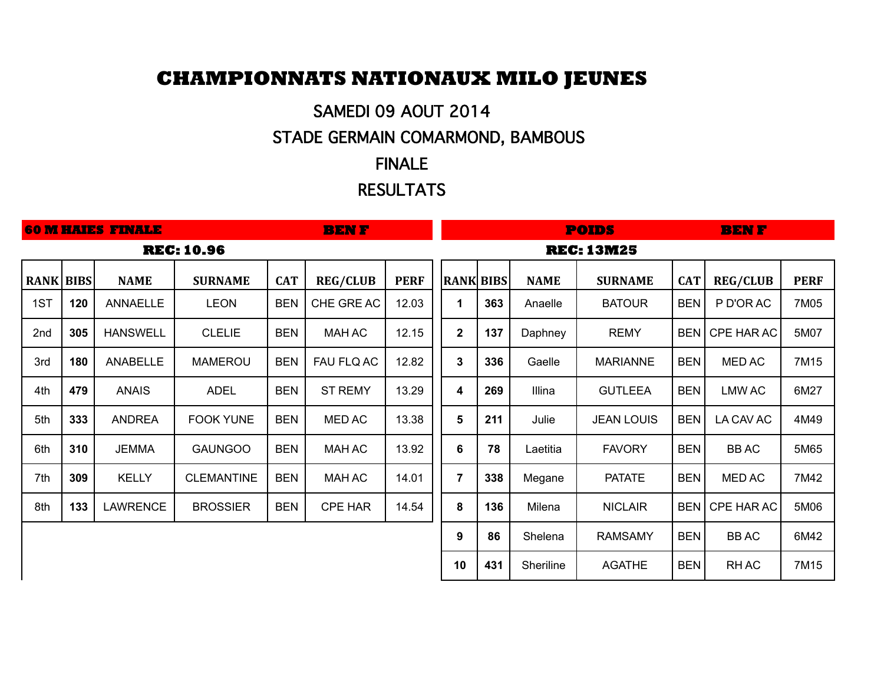# **CHAMPIONNATS NATIONAUX MILO JEUNES**

# SAMEDI 09 AOUT 2014

# STADE GERMAIN COMARMOND, BAMBOUS

### FINALE

### RESULTATS

|                  | <b>60 M HAIES FINALE</b><br><b>BENF</b> |                 |                   |            |                 |             |                   | <b>POIDS</b><br><b>BENF</b> |                  |             |                   |            |                 |             |
|------------------|-----------------------------------------|-----------------|-------------------|------------|-----------------|-------------|-------------------|-----------------------------|------------------|-------------|-------------------|------------|-----------------|-------------|
|                  |                                         |                 | <b>REC: 10.96</b> |            |                 |             | <b>REC: 13M25</b> |                             |                  |             |                   |            |                 |             |
| <b>RANK BIBS</b> |                                         | <b>NAME</b>     | <b>SURNAME</b>    | <b>CAT</b> | <b>REG/CLUB</b> | <b>PERF</b> |                   |                             | <b>RANK BIBS</b> | <b>NAME</b> | <b>SURNAME</b>    | <b>CAT</b> | <b>REG/CLUB</b> | <b>PERF</b> |
| 1ST              | 120                                     | ANNAELLE        | <b>LEON</b>       | <b>BEN</b> | CHE GRE AC      | 12.03       |                   | 1                           | 363              | Anaelle     | <b>BATOUR</b>     | <b>BEN</b> | P D'OR AC       | 7M05        |
| 2nd              | 305                                     | <b>HANSWELL</b> | <b>CLELIE</b>     | <b>BEN</b> | <b>MAH AC</b>   | 12.15       |                   | $\mathbf{2}$                | 137              | Daphney     | <b>REMY</b>       | <b>BEN</b> | CPE HAR AC      | 5M07        |
| 3rd              | 180                                     | ANABELLE        | <b>MAMEROU</b>    | <b>BEN</b> | FAU FLQ AC      | 12.82       |                   | 3                           | 336              | Gaelle      | <b>MARIANNE</b>   | <b>BEN</b> | MED AC          | 7M15        |
| 4th              | 479                                     | <b>ANAIS</b>    | <b>ADEL</b>       | <b>BEN</b> | <b>ST REMY</b>  | 13.29       |                   | 4                           | 269              | Illina      | <b>GUTLEEA</b>    | <b>BEN</b> | LMW AC          | 6M27        |
| 5th              | 333                                     | <b>ANDREA</b>   | <b>FOOK YUNE</b>  | <b>BEN</b> | <b>MED AC</b>   | 13.38       |                   | $\overline{\mathbf{5}}$     | 211              | Julie       | <b>JEAN LOUIS</b> | <b>BEN</b> | LA CAV AC       | 4M49        |
| 6th              | 310                                     | <b>JEMMA</b>    | <b>GAUNGOO</b>    | <b>BEN</b> | <b>MAH AC</b>   | 13.92       |                   | $\bf 6$                     | 78               | Laetitia    | <b>FAVORY</b>     | <b>BEN</b> | <b>BBAC</b>     | 5M65        |
| 7th              | 309                                     | <b>KELLY</b>    | <b>CLEMANTINE</b> | <b>BEN</b> | <b>MAH AC</b>   | 14.01       |                   | $\overline{7}$              | 338              | Megane      | <b>PATATE</b>     | <b>BEN</b> | <b>MED AC</b>   | 7M42        |
| 8th              | 133                                     | <b>LAWRENCE</b> | <b>BROSSIER</b>   | <b>BEN</b> | <b>CPE HAR</b>  | 14.54       |                   | 8                           | 136              | Milena      | <b>NICLAIR</b>    | <b>BEN</b> | CPE HAR AC      | 5M06        |
|                  |                                         |                 |                   |            |                 |             |                   | 9                           | 86               | Shelena     | <b>RAMSAMY</b>    | <b>BEN</b> | <b>BBAC</b>     | 6M42        |
|                  |                                         |                 |                   |            |                 |             |                   | 10                          | 431              | Sheriline   | <b>AGATHE</b>     | <b>BEN</b> | RH AC           | 7M15        |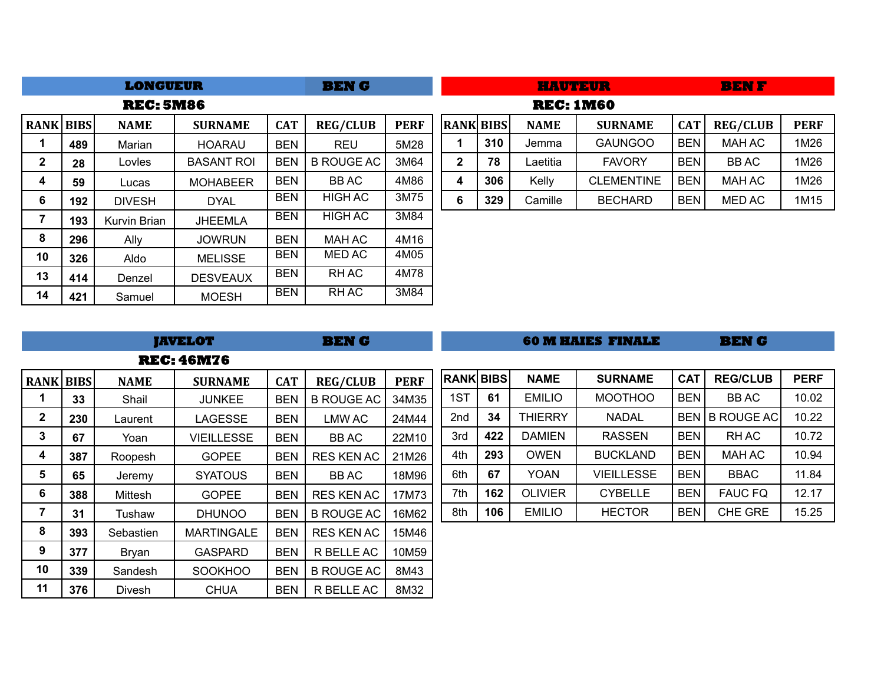|                  |     | <b>LONGUEUR</b>  |                   | <b>BENG</b> |                   |             |                  | HAUTEUR |                  | <b>BENF</b>       |            |                 |             |
|------------------|-----|------------------|-------------------|-------------|-------------------|-------------|------------------|---------|------------------|-------------------|------------|-----------------|-------------|
|                  |     | <b>REC: 5M86</b> |                   |             |                   |             |                  |         | <b>REC: 1M60</b> |                   |            |                 |             |
| <b>RANK BIBS</b> |     | <b>NAME</b>      | <b>SURNAME</b>    | <b>CAT</b>  | <b>REG/CLUB</b>   | <b>PERF</b> | <b>RANK BIBS</b> |         | <b>NAME</b>      | <b>SURNAME</b>    | <b>CAT</b> | <b>REG/CLUB</b> | <b>PERF</b> |
|                  | 489 | Marian           | <b>HOARAU</b>     | <b>BEN</b>  | <b>REU</b>        | 5M28        |                  | 310     | Jemma            | <b>GAUNGOO</b>    | <b>BEN</b> | <b>MAH AC</b>   | 1M26        |
| $\mathbf{2}$     | 28  | Lovles           | <b>BASANT ROI</b> | <b>BEN</b>  | <b>B ROUGE AC</b> | 3M64        | $\mathbf{2}$     | 78      | Laetitia         | <b>FAVORY</b>     | <b>BEN</b> | <b>BBAC</b>     | 1M26        |
| 4                | 59  | Lucas            | <b>MOHABEER</b>   | <b>BEN</b>  | <b>BBAC</b>       | 4M86        | 4                | 306     | Kelly            | <b>CLEMENTINE</b> | <b>BEN</b> | <b>MAH AC</b>   | 1M26        |
| 6                | 192 | <b>DIVESH</b>    | <b>DYAL</b>       | <b>BEN</b>  | <b>HIGH AC</b>    | 3M75        | 6                | 329     | Camille          | <b>BECHARD</b>    | <b>BEN</b> | MED AC          | 1M15        |
|                  | 193 | Kurvin Brian     | <b>JHEEMLA</b>    | <b>BEN</b>  | <b>HIGH AC</b>    | 3M84        |                  |         |                  |                   |            |                 |             |
| 8                | 296 | Ally             | <b>JOWRUN</b>     | <b>BEN</b>  | <b>MAH AC</b>     | 4M16        |                  |         |                  |                   |            |                 |             |
| 10               | 326 | Aldo             | <b>MELISSE</b>    | <b>BEN</b>  | MED AC            | 4M05        |                  |         |                  |                   |            |                 |             |
| 13               | 414 | Denzel           | <b>DESVEAUX</b>   | <b>BEN</b>  | RH AC             | 4M78        |                  |         |                  |                   |            |                 |             |
| 14               | 421 | Samuel           | <b>MOESH</b>      | <b>BEN</b>  | RH AC             | 3M84        |                  |         |                  |                   |            |                 |             |

|                  |     |                | <b>JAVELOT</b>    | <b>BENG</b> |                   |             |                  | <b>60 M HAIES FINALE</b> |                |                   |            | <b>BENG</b>       |             |  |
|------------------|-----|----------------|-------------------|-------------|-------------------|-------------|------------------|--------------------------|----------------|-------------------|------------|-------------------|-------------|--|
|                  |     |                | <b>REC: 46M76</b> |             |                   |             |                  |                          |                |                   |            |                   |             |  |
| <b>RANK BIBS</b> |     | <b>NAME</b>    | <b>SURNAME</b>    | <b>CAT</b>  | <b>REG/CLUB</b>   | <b>PERF</b> | <b>RANK BIBS</b> |                          | <b>NAME</b>    | <b>SURNAME</b>    | <b>CAT</b> | <b>REG/CLUB</b>   | <b>PERF</b> |  |
|                  | 33  | Shail          | <b>JUNKEE</b>     | <b>BEN</b>  | <b>B ROUGE AC</b> | 34M35       | 1ST              | 61                       | <b>EMILIO</b>  | <b>MOOTHOO</b>    | <b>BEN</b> | <b>BBAC</b>       | 10.02       |  |
| $\mathbf{2}$     | 230 | Laurent        | LAGESSE           | <b>BEN</b>  | LMW AC            | 24M44       | 2nd              | 34                       | <b>THIERRY</b> | <b>NADAL</b>      | BEN        | <b>B ROUGE AC</b> | 10.22       |  |
| 3                | 67  | Yoan           | VIEILLESSE        | <b>BEN</b>  | BB AC             | 22M10       | 3rd              | 422                      | <b>DAMIEN</b>  | <b>RASSEN</b>     | <b>BEN</b> | RH AC             | 10.72       |  |
| 4                | 387 | Roopesh        | <b>GOPEE</b>      | <b>BEN</b>  | <b>RES KEN AC</b> | 21M26       | 4th              | 293                      | <b>OWEN</b>    | <b>BUCKLAND</b>   | <b>BEN</b> | <b>MAH AC</b>     | 10.94       |  |
| 5                | 65  | Jeremy         | <b>SYATOUS</b>    | <b>BEN</b>  | BB AC             | 18M96       | 6th              | 67                       | <b>YOAN</b>    | <b>VIEILLESSE</b> | <b>BEN</b> | <b>BBAC</b>       | 11.84       |  |
| 6                | 388 | <b>Mittesh</b> | <b>GOPEE</b>      | <b>BEN</b>  | <b>RES KEN AC</b> | 17M73       | 7th              | 162                      | <b>OLIVIER</b> | <b>CYBELLE</b>    | <b>BEN</b> | <b>FAUC FQ</b>    | 12.17       |  |
| 7                | 31  | Tushaw         | <b>DHUNOO</b>     | <b>BEN</b>  | <b>B ROUGE AC</b> | 16M62       | 8th              | 106                      | <b>EMILIO</b>  | <b>HECTOR</b>     | <b>BEN</b> | CHE GRE           | 15.25       |  |
| 8                | 393 | Sebastien      | <b>MARTINGALE</b> | <b>BEN</b>  | <b>RES KEN AC</b> | 15M46       |                  |                          |                |                   |            |                   |             |  |
| 9                | 377 | Bryan          | <b>GASPARD</b>    | <b>BEN</b>  | R BELLE AC        | 10M59       |                  |                          |                |                   |            |                   |             |  |
| 10               | 339 | Sandesh        | <b>SOOKHOO</b>    | <b>BEN</b>  | <b>B ROUGE AC</b> | 8M43        |                  |                          |                |                   |            |                   |             |  |
| 11               | 376 | Divesh         | <b>CHUA</b>       | <b>BEN</b>  | R BELLE AC        | 8M32        |                  |                          |                |                   |            |                   |             |  |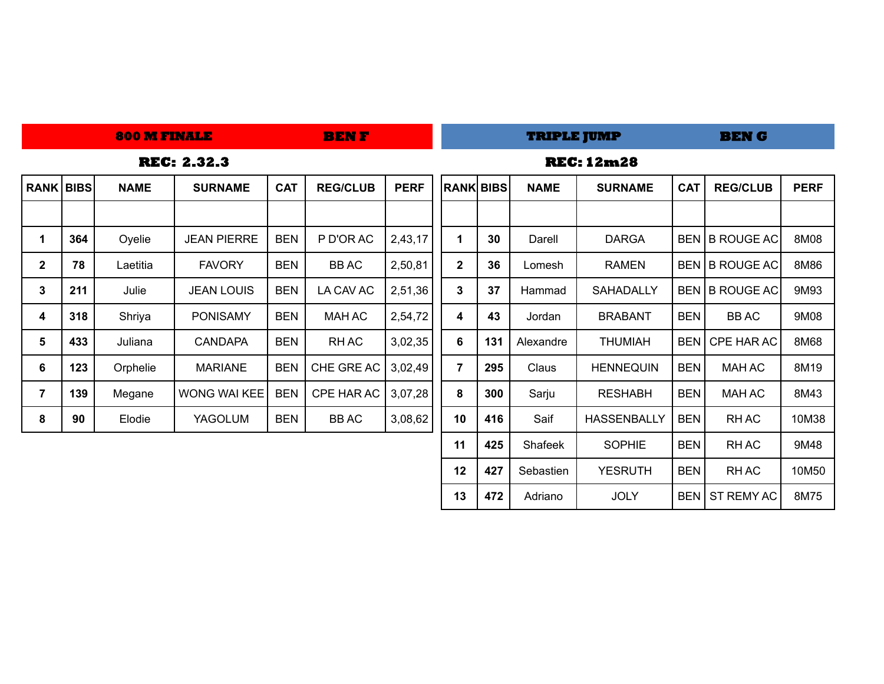|                  | <b>800 M FINALE</b> |             |                    |            | <b>BENF</b>     |             |                   |     | <b>TRIPLE JUMP</b> |                    |            | <b>BEN G</b>    |             |  |  |  |
|------------------|---------------------|-------------|--------------------|------------|-----------------|-------------|-------------------|-----|--------------------|--------------------|------------|-----------------|-------------|--|--|--|
|                  |                     |             | <b>REC: 2.32.3</b> |            |                 |             | <b>REC: 12m28</b> |     |                    |                    |            |                 |             |  |  |  |
| <b>RANK BIBS</b> |                     | <b>NAME</b> | <b>SURNAME</b>     | <b>CAT</b> | <b>REG/CLUB</b> | <b>PERF</b> | <b>RANK BIBS</b>  |     | <b>NAME</b>        | <b>SURNAME</b>     | <b>CAT</b> | <b>REG/CLUB</b> | <b>PERF</b> |  |  |  |
|                  |                     |             |                    |            |                 |             |                   |     |                    |                    |            |                 |             |  |  |  |
| 1                | 364                 | Oyelie      | <b>JEAN PIERRE</b> | <b>BEN</b> | P D'OR AC       | 2,43,17     | 1                 | 30  | Darell             | <b>DARGA</b>       |            | BEN B ROUGE AC  | 8M08        |  |  |  |
| $\mathbf{2}$     | 78                  | Laetitia    | <b>FAVORY</b>      | <b>BEN</b> | <b>BBAC</b>     | 2,50,81     | $\mathbf{2}$      | 36  | Lomesh             | <b>RAMEN</b>       |            | BEN B ROUGE AC  | 8M86        |  |  |  |
| $\mathbf{3}$     | 211                 | Julie       | <b>JEAN LOUIS</b>  | <b>BEN</b> | LA CAV AC       | 2,51,36     | $\mathbf{3}$      | 37  | Hammad             | <b>SAHADALLY</b>   |            | BEN B ROUGE AC  | 9M93        |  |  |  |
| 4                | 318                 | Shriya      | <b>PONISAMY</b>    | <b>BEN</b> | <b>MAH AC</b>   | 2,54,72     | 4                 | 43  | Jordan             | <b>BRABANT</b>     | <b>BEN</b> | <b>BBAC</b>     | 9M08        |  |  |  |
| $5\phantom{.0}$  | 433                 | Juliana     | <b>CANDAPA</b>     | <b>BEN</b> | RH AC           | 3,02,35     | 6                 | 131 | Alexandre          | <b>THUMIAH</b>     | BEN        | CPE HAR AC      | 8M68        |  |  |  |
| 6                | 123                 | Orphelie    | <b>MARIANE</b>     | <b>BEN</b> | CHE GRE AC      | 3,02,49     | $\overline{7}$    | 295 | Claus              | <b>HENNEQUIN</b>   | <b>BEN</b> | <b>MAH AC</b>   | 8M19        |  |  |  |
| $\overline{7}$   | 139                 | Megane      | WONG WAI KEEI      | <b>BEN</b> | CPE HAR AC      | 3,07,28     | 8                 | 300 | Sarju              | <b>RESHABH</b>     | <b>BEN</b> | <b>MAH AC</b>   | 8M43        |  |  |  |
| 8                | 90                  | Elodie      | <b>YAGOLUM</b>     | <b>BEN</b> | <b>BBAC</b>     | 3,08,62     | 10                | 416 | Saif               | <b>HASSENBALLY</b> | <b>BEN</b> | RH AC           | 10M38       |  |  |  |
|                  |                     |             |                    |            |                 |             | 11                | 425 | Shafeek            | <b>SOPHIE</b>      | <b>BEN</b> | RH AC           | 9M48        |  |  |  |
|                  |                     |             |                    |            |                 |             | 12                | 427 | Sebastien          | <b>YESRUTH</b>     | <b>BEN</b> | RH AC           | 10M50       |  |  |  |

| **472** | Adriano | JOLY | BEN | ST REMY AC | 8M75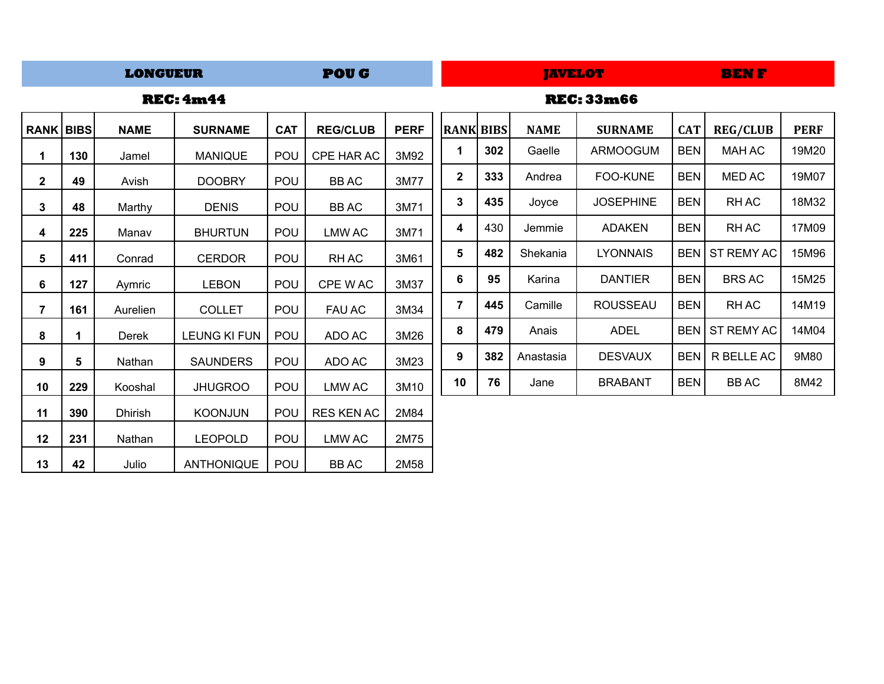### **POUG BEN F LONGUEUR**

### **REC: 4m44 REC: 33m66**

|  | <b>REC: 4m44</b> |  |
|--|------------------|--|

| <b>RANK BIBS</b> |     | <b>NAME</b>    | <b>SURNAME</b>      | <b>CAT</b> | <b>REG/CLUB</b>   | <b>PERF</b> | <b>RANK BIBS</b> |     | <b>NAME</b> | <b>SURNAME</b>   | <b>CAT</b> | <b>REG/CLUB</b> | <b>PERF</b> |
|------------------|-----|----------------|---------------------|------------|-------------------|-------------|------------------|-----|-------------|------------------|------------|-----------------|-------------|
| 1                | 130 | Jamel          | <b>MANIQUE</b>      | POU        | CPE HAR AC        | 3M92        | 1                | 302 | Gaelle      | <b>ARMOOGUM</b>  | <b>BEN</b> | <b>MAH AC</b>   | 19M20       |
| $\mathbf{2}$     | 49  | Avish          | <b>DOOBRY</b>       | POU        | <b>BBAC</b>       | 3M77        | $\boldsymbol{2}$ | 333 | Andrea      | FOO-KUNE         | <b>BEN</b> | MED AC          | 19M07       |
| 3                | 48  | Marthy         | <b>DENIS</b>        | POU        | <b>BBAC</b>       | 3M71        | 3                | 435 | Joyce       | <b>JOSEPHINE</b> | <b>BEN</b> | RH AC           | 18M32       |
| 4                | 225 | Manav          | <b>BHURTUN</b>      | POU        | LMW AC            | 3M71        | 4                | 430 | Jemmie      | <b>ADAKEN</b>    | <b>BEN</b> | RH AC           | 17M09       |
| 5                | 411 | Conrad         | <b>CERDOR</b>       | POU        | RH AC             | 3M61        | 5                | 482 | Shekania    | <b>LYONNAIS</b>  | BEN        | ST REMY AC      | 15M96       |
| 6                | 127 | Aymric         | <b>LEBON</b>        | POU        | CPE WAC           | 3M37        | 6                | 95  | Karina      | <b>DANTIER</b>   | <b>BEN</b> | <b>BRS AC</b>   | 15M25       |
| 7                | 161 | Aurelien       | <b>COLLET</b>       | POU        | <b>FAU AC</b>     | 3M34        | 7                | 445 | Camille     | <b>ROUSSEAU</b>  | <b>BEN</b> | RH AC           | 14M19       |
| 8                |     | Derek          | <b>LEUNG KI FUN</b> | POU        | ADO AC            | 3M26        | 8                | 479 | Anais       | <b>ADEL</b>      | BEN        | ST REMY AC      | 14M04       |
| 9                | 5   | Nathan         | <b>SAUNDERS</b>     | POU        | ADO AC            | 3M23        | 9                | 382 | Anastasia   | <b>DESVAUX</b>   | <b>BEN</b> | R BELLE AC      | 9M80        |
| 10               | 229 | Kooshal        | <b>JHUGROO</b>      | POU        | LMW AC            | 3M10        | 10               | 76  | Jane        | <b>BRABANT</b>   | <b>BEN</b> | <b>BBAC</b>     | 8M42        |
| 11               | 390 | <b>Dhirish</b> | <b>KOONJUN</b>      | POU        | <b>RES KEN AC</b> | 2M84        |                  |     |             |                  |            |                 |             |
| 12               | 231 | Nathan         | <b>LEOPOLD</b>      | POU        | LMW AC            | 2M75        |                  |     |             |                  |            |                 |             |
| 13               | 42  | Julio          | ANTHONIQUE          | POU        | <b>BBAC</b>       | 2M58        |                  |     |             |                  |            |                 |             |

| <b>RANK</b>  | <b>BIBS</b> | <b>NAME</b> | <b>SURNAME</b>   | <b>CAT</b> | <b>REG/CLUB</b>   | <b>PERF</b> |
|--------------|-------------|-------------|------------------|------------|-------------------|-------------|
| 1            | 302         | Gaelle      | <b>ARMOOGUM</b>  | BEN        | MAH AC            | 19M20       |
| $\mathbf{2}$ | 333         | Andrea      | <b>FOO-KUNE</b>  | <b>BEN</b> | <b>MED AC</b>     | 19M07       |
| 3            | 435         | Joyce       | <b>JOSEPHINE</b> | <b>BEN</b> | RH AC             | 18M32       |
| 4            | 430         | Jemmie      | <b>ADAKEN</b>    | <b>BEN</b> | RH AC             | 17M09       |
| 5            | 482         | Shekania    | <b>LYONNAIS</b>  | <b>BEN</b> | <b>ST REMY AC</b> | 15M96       |
| 6            | 95          | Karina      | <b>DANTIER</b>   | <b>BEN</b> | <b>BRS AC</b>     | 15M25       |
| 7            | 445         | Camille     | ROUSSEAU         | <b>BEN</b> | RH AC             | 14M19       |
| 8            | 479         | Anais       | <b>ADEL</b>      | <b>BEN</b> | <b>ST REMY AC</b> | 14M04       |
| 9            | 382         | Anastasia   | <b>DESVAUX</b>   | <b>BEN</b> | R BELLE AC        | 9M80        |
| 10           | 76          | Jane        | <b>BRABANT</b>   | <b>BEN</b> | <b>BBAC</b>       | 8M42        |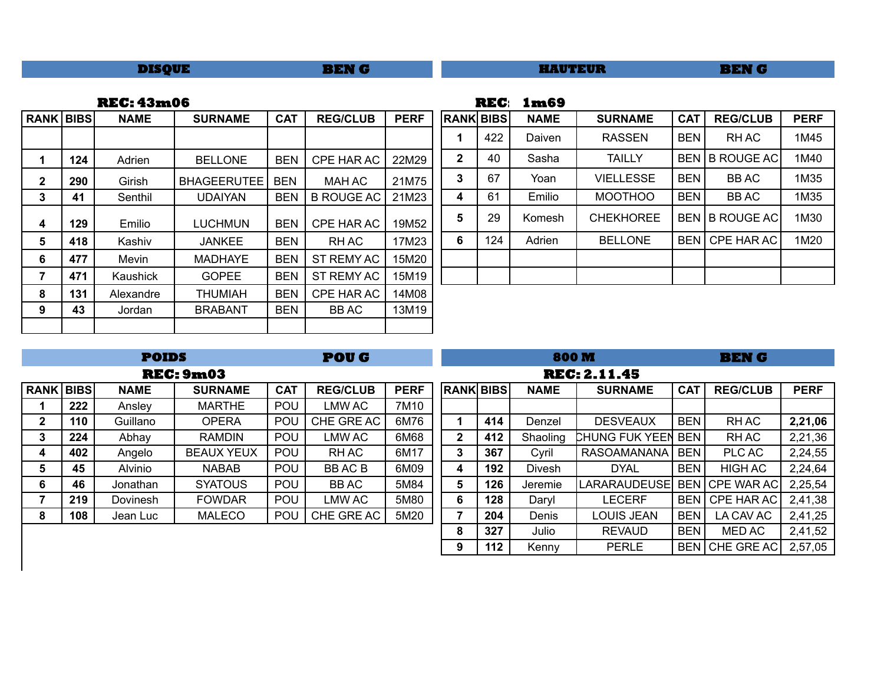| BEN G<br><b>DISQUE</b> | <b>HAUTEUR</b> | BEN G |
|------------------------|----------------|-------|
|------------------------|----------------|-------|

| <b>REC: 43m06</b> | <b>REC</b> 1m69 |
|-------------------|-----------------|
|                   |                 |

| <b>RANK BIBS</b> |     | <b>NAME</b> | <b>SURNAME</b> | <b>CAT</b> | <b>REG/CLUB</b>   | <b>PERF</b> |              | <b>RANK BIBS</b> | <b>NAME</b> | <b>SURNAME</b>   | <b>CAT</b> | <b>REG/CLUB</b> | <b>PERF</b> |
|------------------|-----|-------------|----------------|------------|-------------------|-------------|--------------|------------------|-------------|------------------|------------|-----------------|-------------|
|                  |     |             |                |            |                   |             |              | 422              | Daiven      | <b>RASSEN</b>    | <b>BEN</b> | RH AC           | 1M45        |
|                  | 124 | Adrien      | <b>BELLONE</b> | <b>BEN</b> | CPE HAR AC        | 22M29       | $\mathbf{2}$ | 40               | Sasha       | <b>TAILLY</b>    |            | BEN B ROUGE AC  | 1M40        |
| $\mathbf{2}$     | 290 | Girish      | BHAGEERUTEE    | <b>BEN</b> | <b>MAH AC</b>     | 21M75       | 3            | 67               | Yoan        | <b>VIELLESSE</b> | <b>BEN</b> | <b>BBAC</b>     | 1M35        |
| 3                | 41  | Senthil     | <b>UDAIYAN</b> | BEN        | <b>B ROUGE AC</b> | 21M23       | 4            | 61               | Emilio      | <b>MOOTHOO</b>   | <b>BEN</b> | <b>BBAC</b>     | 1M35        |
| 4                | 129 | Emilio      | LUCHMUN        | <b>BEN</b> | CPE HAR AC        | 19M52       | 5            | 29               | Komesh      | <b>CHEKHOREE</b> |            | BEN B ROUGE AC  | 1M30        |
| 5                | 418 | Kashiv      | <b>JANKEE</b>  | <b>BEN</b> | RH AC             | 17M23       | 6            | 124              | Adrien      | <b>BELLONE</b>   | BEN        | CPE HAR AC      | 1M20        |
| 6                | 477 | Mevin       | <b>MADHAYE</b> | <b>BEN</b> | ST REMY AC        | 15M20       |              |                  |             |                  |            |                 |             |
| 7                | 471 | Kaushick    | <b>GOPEE</b>   | <b>BEN</b> | ST REMY AC        | 15M19       |              |                  |             |                  |            |                 |             |
| 8                | 131 | Alexandre   | <b>THUMIAH</b> | <b>BEN</b> | CPE HAR AC        | 14M08       |              |                  |             |                  |            |                 |             |
| 9                | 43  | Jordan      | <b>BRABANT</b> | <b>BEN</b> | <b>BBAC</b>       | 13M19       |              |                  |             |                  |            |                 |             |
|                  |     |             |                |            |                   |             |              |                  |             |                  |            |                 |             |

| <b>RANK BIBS</b> |     | <b>NAME</b> | <b>SURNAME</b>   | <b>CAT</b> | <b>REG/CLUB</b>   | <b>PERF</b> |
|------------------|-----|-------------|------------------|------------|-------------------|-------------|
| 1                | 422 | Daiven      | <b>RASSEN</b>    | <b>BEN</b> | RH AC             | 1M45        |
| $\mathbf{2}$     | 40  | Sasha       | <b>TAILLY</b>    | <b>BEN</b> | <b>B ROUGE AC</b> | 1M40        |
| 3                | 67  | Yoan        | <b>VIELLESSE</b> | <b>BEN</b> | <b>BBAC</b>       | 1M35        |
| 4                | 61  | Emilio      | <b>MOOTHOO</b>   | <b>BEN</b> | <b>BBAC</b>       | 1M35        |
| 5                | 29  | Komesh      | <b>CHEKHOREE</b> | <b>BEN</b> | <b>B ROUGE AC</b> | 1M30        |
| 6                | 124 | Adrien      | <b>BELLONE</b>   | <b>BEN</b> | CPE HAR AC        | 1M20        |
|                  |     |             |                  |            |                   |             |
|                  |     |             |                  |            |                   |             |

|              | <b>POIDS</b><br><b>POUG</b>                                  |             |                   |            |                 |             | 800M<br><b>BEN G</b> |     |             |                     |            |                   |             |  |
|--------------|--------------------------------------------------------------|-------------|-------------------|------------|-----------------|-------------|----------------------|-----|-------------|---------------------|------------|-------------------|-------------|--|
|              |                                                              |             | <b>REC: 9m03</b>  |            |                 |             | <b>REC: 2.11.45</b>  |     |             |                     |            |                   |             |  |
| <b>RANK</b>  | <b>BIBS</b>                                                  | <b>NAME</b> | <b>SURNAME</b>    | <b>CAT</b> | <b>REG/CLUB</b> | <b>PERF</b> | <b>RANK BIBS</b>     |     | <b>NAME</b> | <b>SURNAME</b>      | <b>CAT</b> | <b>REG/CLUB</b>   | <b>PERF</b> |  |
|              | 222                                                          | Ansley      | <b>MARTHE</b>     | POU        | LMW AC          | 7M10        |                      |     |             |                     |            |                   |             |  |
| $\mathbf{2}$ | 110                                                          | Guillano    | <b>OPERA</b>      | POU        | CHE GRE AC      | 6M76        |                      | 414 | Denzel      | <b>DESVEAUX</b>     | <b>BEN</b> | <b>RHAC</b>       | 2,21,06     |  |
| 3            | 224                                                          | Abhay       | <b>RAMDIN</b>     | POU        | LMW AC          | 6M68        | $\mathbf{2}$         | 412 | Shaoling    | CHUNG FUK YEEN      | <b>BEN</b> | <b>RHAC</b>       | 2,21,36     |  |
| 4            | 402                                                          | Angelo      | <b>BEAUX YEUX</b> | <b>POU</b> | RH AC           | 6M17        | 3                    | 367 | Cyril       | <b>RASOAMANANA</b>  | <b>BEN</b> | PLC AC            | 2,24,55     |  |
| 5            | 45                                                           | Alvinio     | <b>NABAB</b>      | POU        | <b>BBACB</b>    | 6M09        | 4                    | 192 | Divesh      | <b>DYAL</b>         | <b>BEN</b> | <b>HIGH AC</b>    | 2,24,64     |  |
| 6            | 46                                                           | Jonathan    | <b>SYATOUS</b>    | <b>POU</b> | BB AC           | 5M84        | 5                    | 126 | Jeremie     | <b>LARARAUDEUSE</b> |            | BEN CPE WAR AC    | 2,25,54     |  |
| 7            | 219                                                          | Dovinesh    | <b>FOWDAR</b>     | POU        | LMW AC          | 5M80        | 6                    | 128 | Daryl       | LECERF              | <b>BEN</b> | <b>CPE HAR AC</b> | 2,41,38     |  |
| 8            | <b>POU</b><br>CHE GRE AC<br>108<br><b>MALECO</b><br>Jean Luc |             |                   |            |                 | 5M20        | 7                    | 204 | Denis       | LOUIS JEAN          | <b>BEN</b> | LA CAV AC         | 2,41,25     |  |
|              |                                                              |             |                   |            |                 |             | 8                    | 327 | Julio       | <b>REVAUD</b>       | <b>BEN</b> | MED AC            | 2,41,52     |  |
|              |                                                              |             |                   |            |                 |             | 9                    | 112 | Kenny       | <b>PERLE</b>        |            | BEN CHE GREAC     | 2,57,05     |  |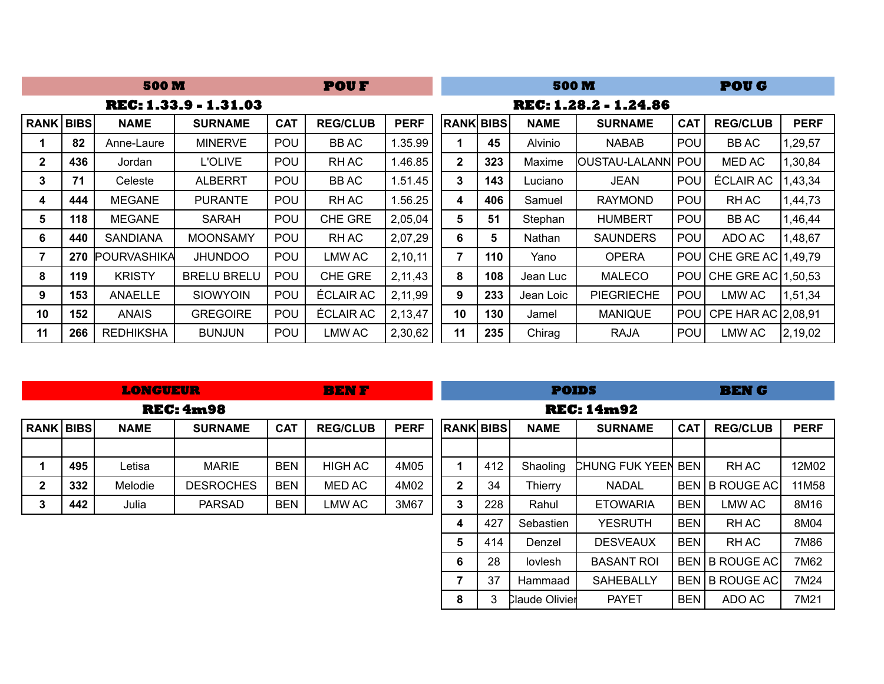|                  | <b>500 M</b> |                     |                       |            | <b>POUF</b>      |             |                  |     | <b>500 M</b> |                       |            | <b>POUG</b>          |             |
|------------------|--------------|---------------------|-----------------------|------------|------------------|-------------|------------------|-----|--------------|-----------------------|------------|----------------------|-------------|
|                  |              |                     | REC: 1.33.9 - 1.31.03 |            |                  |             |                  |     |              | REC: 1.28.2 - 1.24.86 |            |                      |             |
| <b>RANK BIBS</b> |              | <b>NAME</b>         | <b>SURNAME</b>        | <b>CAT</b> | <b>REG/CLUB</b>  | <b>PERF</b> | <b>RANK BIBS</b> |     | <b>NAME</b>  | <b>SURNAME</b>        | <b>CAT</b> | <b>REG/CLUB</b>      | <b>PERF</b> |
|                  | 82           | Anne-Laure          | <b>MINERVE</b>        | POU        | <b>BBAC</b>      | .35.99      |                  | 45  | Alvinio      | <b>NABAB</b>          | <b>POU</b> | <b>BBAC</b>          | 1,29,57     |
| $\mathbf{2}$     | 436          | Jordan              | <b>L'OLIVE</b>        | POU        | RH AC            | 1.46.85     | $\mathbf{2}$     | 323 | Maxime       | OUSTAU-LALANNI POU    |            | MED AC               | 1,30,84     |
| 3                | 71           | Celeste             | <b>ALBERRT</b>        | POU        | BB AC            | 1.51.45     | 3                | 143 | Luciano      | <b>JEAN</b>           | POU        | ÉCLAIR AC            | 1,43,34     |
| 4                | 444          | <b>MEGANE</b>       | <b>PURANTE</b>        | POU        | RH AC            | .56.25      | 4                | 406 | Samuel       | <b>RAYMOND</b>        | <b>POU</b> | <b>RHAC</b>          | 1,44,73     |
| 5                | 118          | <b>MEGANE</b>       | <b>SARAH</b>          | <b>POU</b> | <b>CHE GRE</b>   | 2,05,04     | 5                | 51  | Stephan      | <b>HUMBERT</b>        | <b>POU</b> | BB AC                | 1,46,44     |
| 6                | 440          | <b>SANDIANA</b>     | <b>MOONSAMY</b>       | POU        | RH AC            | 2,07,29     | 6                | 5   | Nathan       | <b>SAUNDERS</b>       | <b>POU</b> | ADO AC               | 1,48,67     |
| 7                | 270          | <b>IPOURVASHIKA</b> | <b>JHUNDOO</b>        | <b>POU</b> | LMW AC           | 2,10,11     | 7                | 110 | Yano         | <b>OPERA</b>          | <b>POU</b> | CHE GRE AC 1,49,79   |             |
| 8                | 119          | <b>KRISTY</b>       | <b>BRELU BRELU</b>    | POU        | CHE GRE          | 2,11,43     | 8                | 108 | Jean Luc     | <b>MALECO</b>         | <b>POU</b> | CHE GRE AC   1,50,53 |             |
| 9                | 153          | ANAELLE             | <b>SIOWYOIN</b>       | POU        | ÉCLAIR AC        | 2,11,99     | 9                | 233 | Jean Loic    | <b>PIEGRIECHE</b>     | POU        | LMW AC               | 1,51,34     |
| 10               | 152          | <b>ANAIS</b>        | <b>GREGOIRE</b>       | POU        | <b>ECLAIR AC</b> | 2,13,47     | 10               | 130 | Jamel        | <b>MANIQUE</b>        | <b>POU</b> | CPE HAR AC   2,08,91 |             |
| 11               | 266          | <b>REDHIKSHA</b>    | <b>BUNJUN</b>         | <b>POU</b> | LMW AC           | 2,30,62     | 11               | 235 | Chirag       | RAJA                  | <b>POU</b> | <b>LMW AC</b>        | 2,19,02     |

| <b>LONGUEUR</b> |
|-----------------|
|                 |

**BEN F BEN G**

**POIDS**

|                  |     |             | revitinyo        |            |                 |             |                  |     |             | rlv: Inn94                |            |                 |             |
|------------------|-----|-------------|------------------|------------|-----------------|-------------|------------------|-----|-------------|---------------------------|------------|-----------------|-------------|
| <b>RANK BIBS</b> |     | <b>NAME</b> | <b>SURNAME</b>   | <b>CAT</b> | <b>REG/CLUB</b> | <b>PERF</b> | <b>RANK BIBS</b> |     | <b>NAME</b> | <b>SURNAME</b>            | <b>CAT</b> | <b>REG/CLUB</b> | <b>PERF</b> |
|                  |     |             |                  |            |                 |             |                  |     |             |                           |            |                 |             |
|                  | 495 | ∟etisa      | <b>MARIE</b>     | <b>BEN</b> | <b>HIGH AC</b>  | 4M05        |                  | 412 | Shaoling    | <b>CHUNG FUK YEEN BEN</b> |            | RH AC           | 12M02       |
|                  | 332 | Melodie     | <b>DESROCHES</b> | <b>BEN</b> | MED AC          | 4M02        | 2                | 34  | Thierry     | <b>NADAL</b>              |            | BEN B ROUGE AC  | 11M58       |
|                  | 442 | Julia       | <b>PARSAD</b>    | <b>BEN</b> | LMW AC          | 3M67        | 3                | 228 | Rahul       | <b>ETOWARIA</b>           | <b>BEN</b> | ∟MW AC          | 8M16        |

**REC: 4m98**

|                  |     |                       | <b>REC: 14m92</b> |            |                   |             |
|------------------|-----|-----------------------|-------------------|------------|-------------------|-------------|
| <b>RANK BIBS</b> |     | <b>NAME</b>           | <b>SURNAME</b>    | <b>CAT</b> | <b>REG/CLUB</b>   | <b>PERF</b> |
|                  |     |                       |                   |            |                   |             |
| 1                | 412 | Shaoling              | CHUNG FUK YEEN    | <b>BEN</b> | <b>RHAC</b>       | 12M02       |
| $\mathbf{2}$     | 34  | <b>Thierry</b>        | <b>NADAL</b>      | <b>BEN</b> | <b>B ROUGE AC</b> | 11M58       |
| 3                | 228 | Rahul                 | <b>ETOWARIA</b>   | <b>BEN</b> | <b>LMW AC</b>     | 8M16        |
| 4                | 427 | Sebastien             | <b>YESRUTH</b>    | <b>BEN</b> | RH AC             | 8M04        |
| 5                | 414 | Denzel                | <b>DESVEAUX</b>   | <b>BFN</b> | RH AC             | 7M86        |
| 6                | 28  | lovlesh               | <b>BASANT ROI</b> | <b>BEN</b> | <b>B ROUGE AC</b> | 7M62        |
| 7                | 37  | Hammaad               | <b>SAHEBALLY</b>  | <b>BEN</b> | <b>B ROUGE AC</b> | 7M24        |
| 8                | 3   | <b>Claude Olivier</b> | <b>PAYET</b>      | <b>BEN</b> | ADO AC            | 7M21        |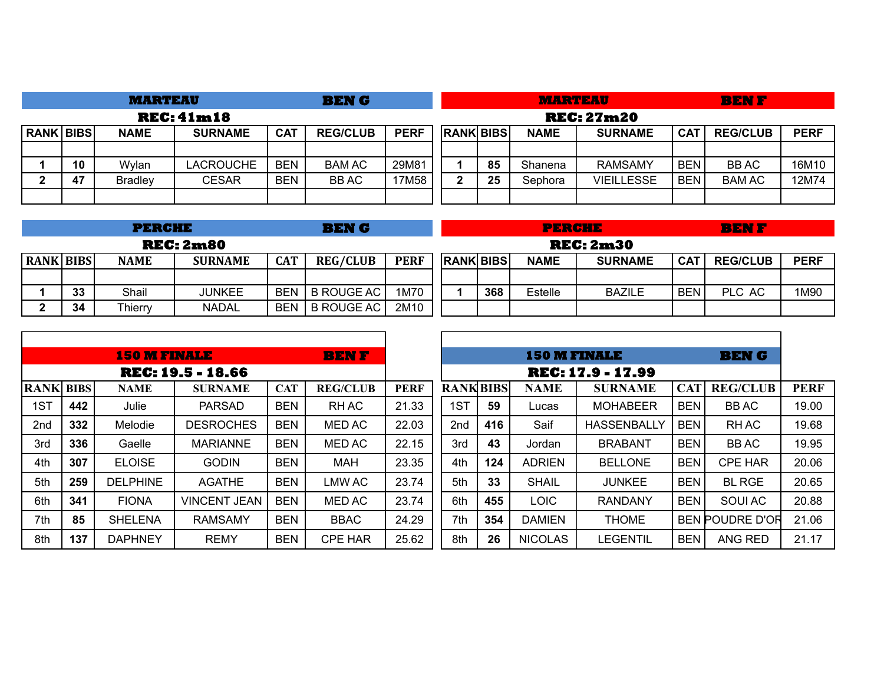|                  |                   | <b>MARTEAU</b> |                |            | <b>BENG</b>     |             |  |                  |    | <b>MARTEAU</b> |                   |            | <b>BENF</b>     |             |
|------------------|-------------------|----------------|----------------|------------|-----------------|-------------|--|------------------|----|----------------|-------------------|------------|-----------------|-------------|
|                  | <b>REC: 41m18</b> |                |                |            |                 |             |  |                  |    |                | <b>REC: 27m20</b> |            |                 |             |
| <b>RANK BIBS</b> |                   | <b>NAME</b>    | <b>SURNAME</b> | <b>CAT</b> | <b>REG/CLUB</b> | <b>PERF</b> |  | <b>RANK BIBS</b> |    | <b>NAME</b>    | <b>SURNAME</b>    | <b>CAT</b> | <b>REG/CLUB</b> | <b>PERF</b> |
|                  |                   |                |                |            |                 |             |  |                  |    |                |                   |            |                 |             |
|                  | 10                | Wylan          | LACROUCHE      | <b>BEN</b> | <b>BAM AC</b>   | 29M81       |  |                  | 85 | Shanena        | <b>RAMSAMY</b>    | <b>BEN</b> | <b>BBAC</b>     | 16M10       |
| ŋ                | 47                | <b>Bradley</b> | <b>CESAR</b>   | <b>BEN</b> | <b>BBAC</b>     | 17M58       |  | $\mathbf{2}$     | 25 | Sephora        | <b>VIEILLESSE</b> | <b>BEN</b> | <b>BAM AC</b>   | 12M74       |
|                  |                   |                |                |            |                 |             |  |                  |    |                |                   |            |                 |             |

|                  |                  | <b>PERCHE</b> |                |            | <b>BENG</b>       |             |  |                  | <b>PERCHE</b> |                  |            | <b>BENF</b>     |             |
|------------------|------------------|---------------|----------------|------------|-------------------|-------------|--|------------------|---------------|------------------|------------|-----------------|-------------|
|                  | <b>REC: 2m80</b> |               |                |            |                   |             |  |                  |               | <b>REC: 2m30</b> |            |                 |             |
| <b>RANK BIBS</b> |                  | <b>NAME</b>   | <b>SURNAME</b> | <b>CAT</b> | <b>REG/CLUB</b>   | <b>PERF</b> |  | <b>RANK BIBS</b> | <b>NAME</b>   | <b>SURNAME</b>   | <b>CAT</b> | <b>REG/CLUB</b> | <b>PERF</b> |
|                  |                  |               |                |            |                   |             |  |                  |               |                  |            |                 |             |
|                  | 33               | Shail         | <b>JUNKEE</b>  | <b>BEN</b> | <b>B ROUGE AC</b> | 1M70        |  | 368              | Estelle       | <b>BAZILE</b>    | <b>BEN</b> | PLC AC          | 1M90        |
|                  | 34               | Thierry       | <b>NADAL</b>   | <b>BEN</b> | <b>B ROUGE AC</b> | 2M10        |  |                  |               |                  |            |                 |             |

Г

|                  |     | <b>150 M FINALE</b> |                          |            | <b>BENF</b>     |             |                  |     | <b>150 M FINALE</b> |                          |            | <b>BEN G</b>           |             |
|------------------|-----|---------------------|--------------------------|------------|-----------------|-------------|------------------|-----|---------------------|--------------------------|------------|------------------------|-------------|
|                  |     |                     | <b>REC: 19.5 - 18.66</b> |            |                 |             |                  |     |                     | <b>REC: 17.9 - 17.99</b> |            |                        |             |
| <b>RANK BIBS</b> |     | <b>NAME</b>         | <b>SURNAME</b>           | <b>CAT</b> | <b>REG/CLUB</b> | <b>PERF</b> | <b>RANK BIBS</b> |     | <b>NAME</b>         | <b>SURNAME</b>           | <b>CAT</b> | <b>REG/CLUB</b>        | <b>PERF</b> |
| 1ST              | 442 | Julie               | <b>PARSAD</b>            | <b>BEN</b> | RH AC           | 21.33       | 1ST              | 59  | Lucas               | <b>MOHABEER</b>          | <b>BEN</b> | <b>BBAC</b>            | 19.00       |
| 2 <sub>nd</sub>  | 332 | Melodie             | <b>DESROCHES</b>         | <b>BEN</b> | <b>MED AC</b>   | 22.03       | 2 <sub>nd</sub>  | 416 | Saif                | <b>HASSENBALLY</b>       | <b>BEN</b> | <b>RHAC</b>            | 19.68       |
| 3rd              | 336 | Gaelle              | <b>MARIANNE</b>          | <b>BEN</b> | MED AC          | 22.15       | 3rd              | 43  | Jordan              | <b>BRABANT</b>           | <b>BEN</b> | <b>BBAC</b>            | 19.95       |
| 4th              | 307 | <b>ELOISE</b>       | <b>GODIN</b>             | <b>BEN</b> | <b>MAH</b>      | 23.35       | 4th              | 124 | <b>ADRIEN</b>       | <b>BELLONE</b>           | <b>BEN</b> | <b>CPE HAR</b>         | 20.06       |
| 5th              | 259 | <b>DELPHINE</b>     | <b>AGATHE</b>            | <b>BEN</b> | <b>LMW AC</b>   | 23.74       | 5th              | 33  | <b>SHAIL</b>        | <b>JUNKEE</b>            | <b>BEN</b> | <b>BL RGE</b>          | 20.65       |
| 6th              | 341 | <b>FIONA</b>        | <b>VINCENT JEAN</b>      | <b>BEN</b> | <b>MED AC</b>   | 23.74       | 6th              | 455 | LOIC                | <b>RANDANY</b>           | <b>BEN</b> | SOUI AC                | 20.88       |
| 7th              | 85  | <b>SHELENA</b>      | <b>RAMSAMY</b>           | <b>BEN</b> | BBAC            | 24.29       | 7th              | 354 | <b>DAMIEN</b>       | <b>THOME</b>             |            | <b>BEN POUDRE D'OR</b> | 21.06       |
| 8th              | 137 | <b>DAPHNEY</b>      | <b>REMY</b>              | <b>BEN</b> | <b>CPE HAR</b>  | 25.62       | 8th              | 26  | <b>NICOLAS</b>      | <b>LEGENTIL</b>          | <b>BEN</b> | ANG RED                | 21.17       |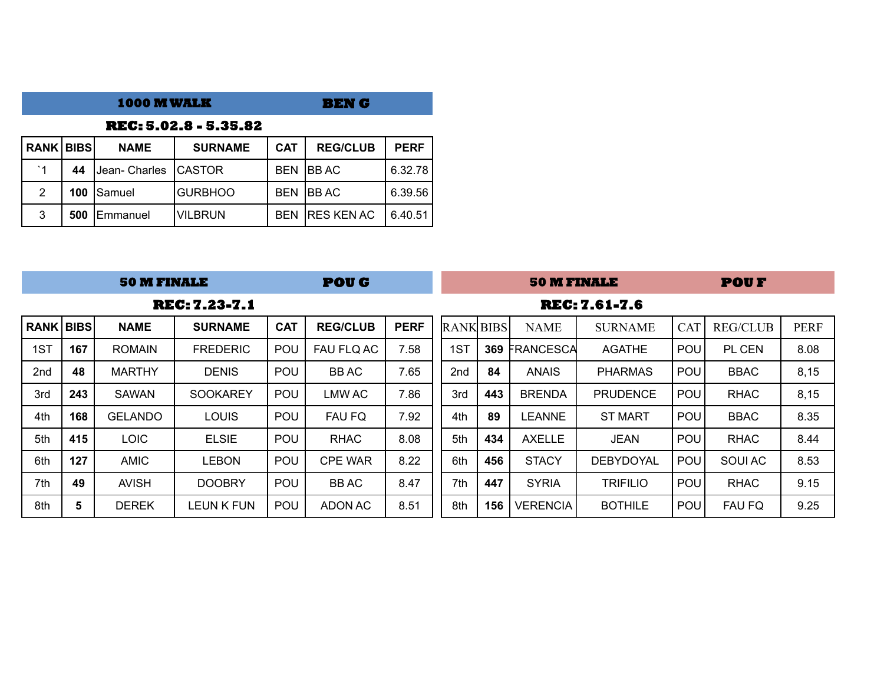|                  |                              | <b>1000 M WALK</b> |                |            | <b>BENG</b>       |             |  |  |  |  |  |  |  |  |  |
|------------------|------------------------------|--------------------|----------------|------------|-------------------|-------------|--|--|--|--|--|--|--|--|--|
|                  | <b>REC: 5.02.8 - 5.35.82</b> |                    |                |            |                   |             |  |  |  |  |  |  |  |  |  |
| <b>RANK BIBS</b> |                              | <b>NAME</b>        | <b>SURNAME</b> | <b>CAT</b> | <b>REG/CLUB</b>   | <b>PERF</b> |  |  |  |  |  |  |  |  |  |
| $^{\circ}$ 1     | 44                           | Uean- Charles      | <b>ICASTOR</b> | <b>BFN</b> | IBB AC            | 6.32.78     |  |  |  |  |  |  |  |  |  |
| 2                | 100                          | Samuel             | <b>GURBHOO</b> | <b>BEN</b> | IBB AC            | 6.39.56     |  |  |  |  |  |  |  |  |  |
| 3                | 500                          | Emmanuel           | <b>VILBRUN</b> | <b>BEN</b> | <b>RES KEN AC</b> | 6.40.51     |  |  |  |  |  |  |  |  |  |

|                    |     | <b>50 M FINALE</b> |                      |            | <b>POUG</b>     |             |                  |     | <b>50 M FINALE</b> |                      |            | <b>POUF</b>     |             |
|--------------------|-----|--------------------|----------------------|------------|-----------------|-------------|------------------|-----|--------------------|----------------------|------------|-----------------|-------------|
|                    |     |                    | <b>REC: 7.23-7.1</b> |            |                 |             |                  |     |                    | <b>REC: 7.61-7.6</b> |            |                 |             |
| <b>RANK   BIBS</b> |     | <b>NAME</b>        | <b>SURNAME</b>       | <b>CAT</b> | <b>REG/CLUB</b> | <b>PERF</b> | <b>RANK BIBS</b> |     | <b>NAME</b>        | <b>SURNAME</b>       | <b>CAT</b> | <b>REG/CLUB</b> | <b>PERF</b> |
| 1ST                | 167 | <b>ROMAIN</b>      | <b>FREDERIC</b>      | POU        | FAU FLQ AC      | 7.58        | 1ST              | 369 | FRANCESCA          | <b>AGATHE</b>        | <b>POU</b> | PL CEN          | 8.08        |
| 2 <sub>nd</sub>    | 48  | <b>MARTHY</b>      | <b>DENIS</b>         | <b>POU</b> | BB AC           | 7.65        | 2 <sub>nd</sub>  | 84  | <b>ANAIS</b>       | <b>PHARMAS</b>       | <b>POU</b> | <b>BBAC</b>     | 8,15        |
| 3rd                | 243 | <b>SAWAN</b>       | <b>SOOKAREY</b>      | POU        | <b>LMW AC</b>   | 7.86        | 3rd              | 443 | <b>BRENDA</b>      | <b>PRUDENCE</b>      | POU        | <b>RHAC</b>     | 8,15        |
| 4th                | 168 | <b>GELANDO</b>     | <b>LOUIS</b>         | POU        | <b>FAU FQ</b>   | 7.92        | 4th              | 89  | <b>LEANNE</b>      | <b>ST MART</b>       | <b>POU</b> | <b>BBAC</b>     | 8.35        |
| 5th                | 415 | <b>LOIC</b>        | <b>ELSIE</b>         | POU        | <b>RHAC</b>     | 8.08        | 5th              | 434 | <b>AXELLE</b>      | JEAN                 | <b>POU</b> | <b>RHAC</b>     | 8.44        |
| 6th                | 127 | <b>AMIC</b>        | LEBON                | POU        | <b>CPE WAR</b>  | 8.22        | 6th              | 456 | <b>STACY</b>       | <b>DEBYDOYAL</b>     | POU        | SOUI AC         | 8.53        |
| 7th                | 49  | <b>AVISH</b>       | <b>DOOBRY</b>        | POU        | <b>BBAC</b>     | 8.47        | 7th              | 447 | <b>SYRIA</b>       | <b>TRIFILIO</b>      | <b>POU</b> | <b>RHAC</b>     | 9.15        |
| 8th                | 5   | <b>DEREK</b>       | LEUN K FUN           | POU        | ADON AC         | 8.51        | 8th              | 156 | VERENCIA           | <b>BOTHILE</b>       | <b>POU</b> | <b>FAU FQ</b>   | 9.25        |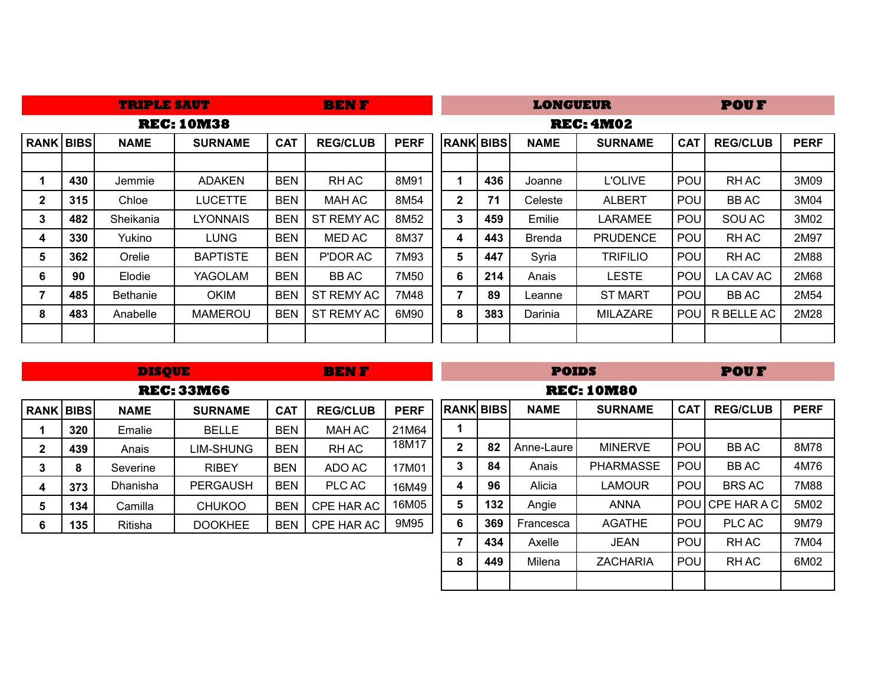|                  | <b>BENF</b><br><b>TRIPLE SAUT</b> |                 |                   |            |                 |             |              |                  | LONGUEUR      |                  |            | <b>POUF</b>     |             |
|------------------|-----------------------------------|-----------------|-------------------|------------|-----------------|-------------|--------------|------------------|---------------|------------------|------------|-----------------|-------------|
|                  |                                   |                 | <b>REC: 10M38</b> |            |                 |             |              |                  |               | <b>REC: 4M02</b> |            |                 |             |
| <b>RANK BIBS</b> |                                   | <b>NAME</b>     | <b>SURNAME</b>    | <b>CAT</b> | <b>REG/CLUB</b> | <b>PERF</b> |              | <b>RANK BIBS</b> | <b>NAME</b>   | <b>SURNAME</b>   | <b>CAT</b> | <b>REG/CLUB</b> | <b>PERF</b> |
|                  |                                   |                 |                   |            |                 |             |              |                  |               |                  |            |                 |             |
| 1                | 430                               | Jemmie          | <b>ADAKEN</b>     | <b>BEN</b> | RH AC           | 8M91        | 1            | 436              | Joanne        | <b>L'OLIVE</b>   | <b>POU</b> | <b>RHAC</b>     | 3M09        |
| 2                | 315                               | Chloe           | <b>LUCETTE</b>    | <b>BEN</b> | MAH AC          | 8M54        | $\mathbf{2}$ | 71               | Celeste       | <b>ALBERT</b>    | POU        | <b>BBAC</b>     | 3M04        |
| 3                | 482                               | Sheikania       | <b>LYONNAIS</b>   | <b>BEN</b> | ST REMY AC      | 8M52        | $\mathbf{3}$ | 459              | Emilie        | <b>LARAMEE</b>   | POU        | SOU AC          | 3M02        |
| 4                | 330                               | Yukino          | LUNG              | <b>BEN</b> | <b>MED AC</b>   | 8M37        | 4            | 443              | <b>Brenda</b> | <b>PRUDENCE</b>  | POU        | <b>RHAC</b>     | 2M97        |
| 5                | 362                               | Orelie          | <b>BAPTISTE</b>   | <b>BEN</b> | P'DOR AC        | 7M93        | 5            | 447              | Syria         | <b>TRIFILIO</b>  | <b>POU</b> | <b>RHAC</b>     | 2M88        |
| 6                | 90                                | Elodie          | YAGOLAM           | <b>BEN</b> | BB AC           | 7M50        | 6            | 214              | Anais         | <b>LESTE</b>     | <b>POU</b> | LA CAV AC       | 2M68        |
| 7                | 485                               | <b>Bethanie</b> | <b>OKIM</b>       | <b>BEN</b> | ST REMY AC      | 7M48        | 7            | 89               | Leanne        | <b>ST MART</b>   | POU        | <b>BBAC</b>     | 2M54        |
| 8                | 483                               | Anabelle        | <b>MAMEROU</b>    | <b>BEN</b> | ST REMY AC      | 6M90        | 8            | 383              | Darinia       | <b>MILAZARE</b>  | <b>POU</b> | R BELLE AC      | 2M28        |
|                  |                                   |                 |                   |            |                 |             |              |                  |               |                  |            |                 |             |

|              | <b>DISQUE</b><br><b>BENF</b>                                                       |          |                   |            |               |             |                  |     | <b>POIDS</b> |                   |            | <b>POUF</b>      |             |
|--------------|------------------------------------------------------------------------------------|----------|-------------------|------------|---------------|-------------|------------------|-----|--------------|-------------------|------------|------------------|-------------|
|              |                                                                                    |          | <b>REC: 33M66</b> |            |               |             |                  |     |              | <b>REC: 10M80</b> |            |                  |             |
|              | <b>CAT</b><br><b>RANK BIBS</b><br><b>NAME</b><br><b>REG/CLUB</b><br><b>SURNAME</b> |          |                   |            |               | <b>PERF</b> | <b>RANK BIBS</b> |     | <b>NAME</b>  | <b>SURNAME</b>    | <b>CAT</b> | <b>REG/CLUB</b>  | <b>PERF</b> |
|              | 320                                                                                | Emalie   | <b>BELLE</b>      | <b>BEN</b> | <b>MAH AC</b> | 21M64       | 1                |     |              |                   |            |                  |             |
| $\mathbf{2}$ | 439                                                                                | Anais    | LIM-SHUNG         | <b>BEN</b> | RH AC         | 18M17       | $\mathbf 2$      | 82  | Anne-Laure   | <b>MINERVE</b>    | <b>POU</b> | <b>BBAC</b>      | 8M78        |
| 3            | 8                                                                                  | Severine | <b>RIBEY</b>      | <b>BEN</b> | ADO AC        | 17M01       | 3                | 84  | Anais        | <b>PHARMASSE</b>  | POU        | <b>BBAC</b>      | 4M76        |
| 4            | 373                                                                                | Dhanisha | <b>PERGAUSH</b>   | <b>BEN</b> | PLC AC        | 16M49       | 4                | 96  | Alicia       | LAMOUR            | <b>POU</b> | <b>BRS AC</b>    | 7M88        |
| 5            | 134                                                                                | Camilla  | <b>CHUKOO</b>     | <b>BEN</b> | CPE HAR AC    | 16M05       | 5                | 132 | Angie        | <b>ANNA</b>       |            | POU CPE HAR A CI | 5M02        |
| 6            | 135                                                                                | Ritisha  | <b>DOOKHEE</b>    | <b>BEN</b> | CPE HAR AC    | 9M95        | 6                | 369 | Francesca    | <b>AGATHE</b>     | <b>POU</b> | PLC AC           | 9M79        |
|              |                                                                                    |          |                   |            |               |             |                  |     | Axelle       | <b>JEAN</b>       | <b>POU</b> | RH AC            | 7M04        |
|              |                                                                                    |          |                   |            |               |             |                  |     | Milena       | <b>ZACHARIA</b>   | <b>POU</b> | RH AC            | 6M02        |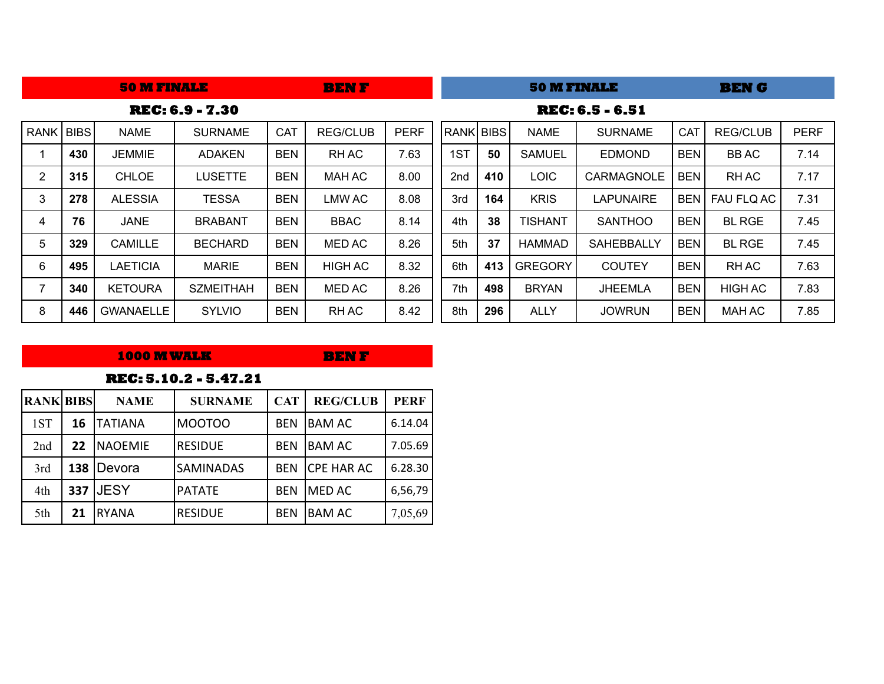|                |     | <b>50 M FINALE</b> | <b>BENF</b>            |            |                 |             | <b>50 M FINALE</b> |     |                | <b>BENG</b>            |            |                 |             |
|----------------|-----|--------------------|------------------------|------------|-----------------|-------------|--------------------|-----|----------------|------------------------|------------|-----------------|-------------|
|                |     |                    | <b>REC: 6.9 - 7.30</b> |            |                 |             |                    |     |                | <b>REC: 6.5 - 6.51</b> |            |                 |             |
| RANK BIBS      |     | <b>NAME</b>        | <b>SURNAME</b>         | <b>CAT</b> | <b>REG/CLUB</b> | <b>PERF</b> | RANK BIBS          |     | <b>NAME</b>    | <b>SURNAME</b>         | CAT        | <b>REG/CLUB</b> | <b>PERF</b> |
|                | 430 | <b>JEMMIE</b>      | <b>ADAKEN</b>          | <b>BEN</b> | <b>RHAC</b>     | 7.63        | 1ST                | 50  | <b>SAMUEL</b>  | <b>EDMOND</b>          | <b>BEN</b> | <b>BBAC</b>     | 7.14        |
| $\overline{2}$ | 315 | <b>CHLOE</b>       | <b>LUSETTE</b>         | <b>BEN</b> | <b>MAH AC</b>   | 8.00        | 2 <sub>nd</sub>    | 410 | <b>LOIC</b>    | <b>CARMAGNOLE</b>      | <b>BEN</b> | <b>RHAC</b>     | 7.17        |
| 3              | 278 | <b>ALESSIA</b>     | <b>TESSA</b>           | <b>BEN</b> | <b>LMW AC</b>   | 8.08        | 3rd                | 164 | <b>KRIS</b>    | <b>LAPUNAIRE</b>       | <b>BEN</b> | FAU FLQ AC      | 7.31        |
| 4              | 76  | <b>JANE</b>        | <b>BRABANT</b>         | <b>BEN</b> | <b>BBAC</b>     | 8.14        | 4th                | 38  | <b>TISHANT</b> | <b>SANTHOO</b>         | <b>BEN</b> | <b>BL RGE</b>   | 7.45        |
| 5              | 329 | <b>CAMILLE</b>     | <b>BECHARD</b>         | <b>BEN</b> | <b>MED AC</b>   | 8.26        | 5th                | 37  | <b>HAMMAD</b>  | <b>SAHEBBALLY</b>      | <b>BEN</b> | <b>BL RGE</b>   | 7.45        |
| 6              | 495 | <b>LAETICIA</b>    | <b>MARIE</b>           | <b>BEN</b> | <b>HIGH AC</b>  | 8.32        | 6th                | 413 | <b>GREGORY</b> | <b>COUTEY</b>          | <b>BEN</b> | <b>RHAC</b>     | 7.63        |
| 7              | 340 | <b>KETOURA</b>     | <b>SZMEITHAH</b>       | <b>BEN</b> | <b>MED AC</b>   | 8.26        | 7th                | 498 | <b>BRYAN</b>   | <b>JHEEMLA</b>         | <b>BEN</b> | <b>HIGH AC</b>  | 7.83        |
| 8              | 446 | <b>GWANAELLE</b>   | <b>SYLVIO</b>          | <b>BEN</b> | RH AC           | 8.42        | 8th                | 296 | <b>ALLY</b>    | <b>JOWRUN</b>          | <b>BEN</b> | MAH AC          | 7.85        |

### **1000 M WALK**

**BEN F**

|                  |     |                 | REC: 5.10.2 - 5.47.21 |            |                   |             |
|------------------|-----|-----------------|-----------------------|------------|-------------------|-------------|
| <b>RANK BIBS</b> |     | <b>NAME</b>     | <b>SURNAME</b>        | <b>CAT</b> | <b>REG/CLUB</b>   | <b>PERF</b> |
| 1ST              | 16  | ITATIANA        | MOOTOO                | <b>BEN</b> | <b>BAM AC</b>     | 6.14.04     |
| 2nd              | 22  | <b>INAOEMIE</b> | <b>RESIDUE</b>        | <b>BFN</b> | <b>BAM AC</b>     | 7.05.69     |
| 3rd              | 138 | <b>IDevora</b>  | <b>SAMINADAS</b>      | <b>BFN</b> | <b>CPE HAR AC</b> | 6.28.30     |
| 4th              | 337 | <b>JESY</b>     | PATATE                | <b>BEN</b> | <b>MED AC</b>     | 6,56,79     |
| 5th              | 21  | <b>RYANA</b>    | <b>RESIDUE</b>        | <b>BEN</b> | <b>BAM AC</b>     | 7,05,69     |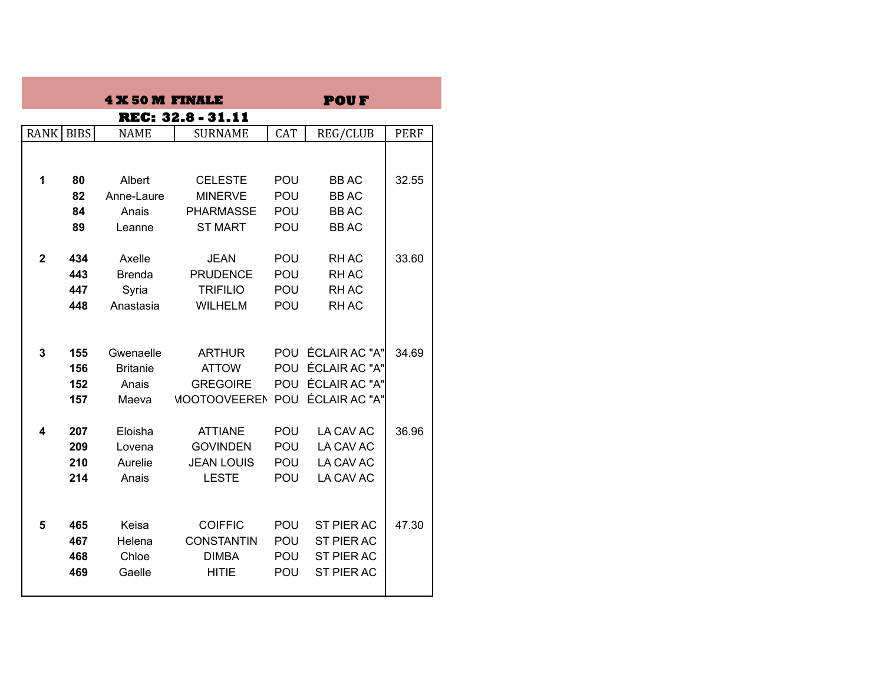|              |     | <b>4 X 50 M FINALE</b> |                                       |            | <b>POUF</b>       |             |
|--------------|-----|------------------------|---------------------------------------|------------|-------------------|-------------|
|              |     |                        | <b>REC: 32.8 - 31.11</b>              |            |                   |             |
| RANK   BIBS  |     | <b>NAME</b>            | <b>SURNAME</b>                        | <b>CAT</b> | <b>REG/CLUB</b>   | <b>PERF</b> |
|              |     |                        |                                       |            |                   |             |
| 1            | 80  | Albert                 | <b>CELESTE</b>                        | <b>POU</b> | <b>BBAC</b>       | 32.55       |
|              | 82  | Anne-Laure             | <b>MINERVE</b>                        | POU        | <b>BBAC</b>       |             |
|              | 84  | Anais                  | <b>PHARMASSE</b>                      | POU        | <b>BBAC</b>       |             |
|              | 89  | Leanne                 | <b>ST MART</b>                        | POU        | <b>BBAC</b>       |             |
|              |     |                        |                                       |            |                   |             |
| $\mathbf{2}$ | 434 | Axelle                 | <b>JEAN</b>                           | POU        | <b>RHAC</b>       | 33.60       |
|              | 443 | <b>Brenda</b>          | <b>PRUDENCE</b>                       | POU        | <b>RHAC</b>       |             |
|              | 447 | Syria                  | <b>TRIFILIO</b>                       | POU        | <b>RHAC</b>       |             |
|              | 448 | Anastasia              | <b>WILHELM</b>                        | POU        | <b>RHAC</b>       |             |
|              |     |                        |                                       |            |                   |             |
| 3            | 155 | Gwenaelle              | <b>ARTHUR</b>                         |            | POU ÉCLAIR AC "A" | 34.69       |
|              | 156 | <b>Britanie</b>        | <b>ATTOW</b>                          | POU        | ÉCLAIR AC "A"     |             |
|              | 152 | Anais                  | <b>GREGOIRE</b>                       |            | POU ÉCLAIR AC "A" |             |
|              | 157 | Maeva                  | <b>MOOTOOVEEREN POU ÉCLAIR AC "A"</b> |            |                   |             |
| 4            | 207 | Eloisha                | <b>ATTIANE</b>                        | POU        | LA CAV AC         | 36.96       |
|              | 209 | Lovena                 | <b>GOVINDEN</b>                       | POU        | LA CAV AC         |             |
|              | 210 | Aurelie                | <b>JEAN LOUIS</b>                     | POU        | LA CAV AC         |             |
|              | 214 | Anais                  | <b>LESTE</b>                          | <b>POU</b> | LA CAV AC         |             |
|              |     |                        |                                       |            |                   |             |
|              |     |                        |                                       |            |                   |             |
| 5            | 465 | Keisa                  | <b>COIFFIC</b>                        | POU        | <b>ST PIER AC</b> | 47.30       |
|              | 467 | Helena                 | <b>CONSTANTIN</b>                     | <b>POU</b> | ST PIER AC        |             |
|              | 468 | Chloe                  | <b>DIMBA</b>                          | <b>POU</b> | <b>ST PIER AC</b> |             |
|              | 469 | Gaelle                 | <b>HITIE</b>                          | POU        | <b>ST PIER AC</b> |             |
|              |     |                        |                                       |            |                   |             |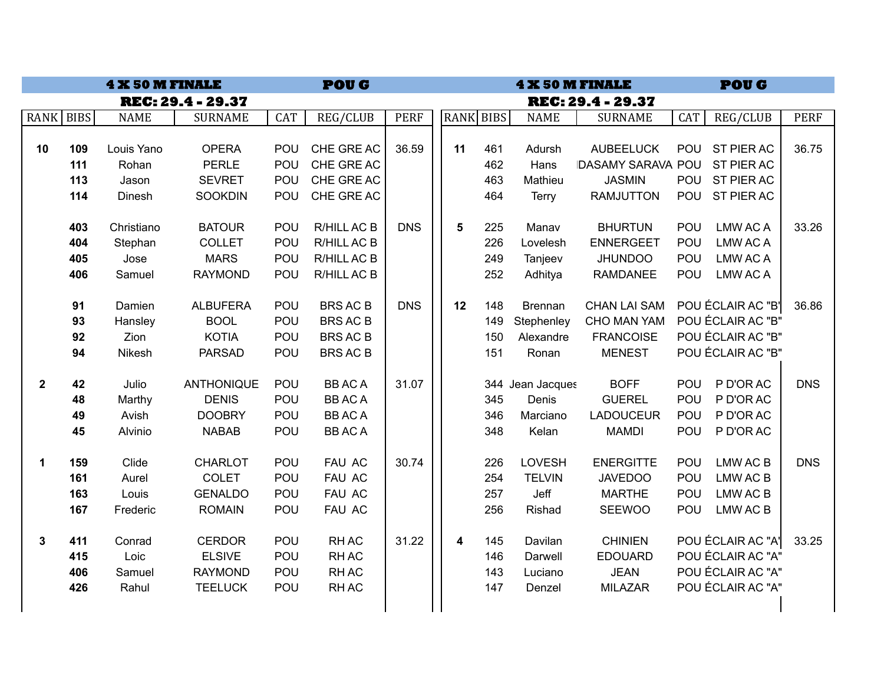|              | <b>POUG</b><br><b>4 X 50 M FINALE</b> |             |                          |            |                 |             |  | <b>POUG</b><br><b>4 X 50 M FINALE</b> |     |                  |                           |     |                   |             |  |
|--------------|---------------------------------------|-------------|--------------------------|------------|-----------------|-------------|--|---------------------------------------|-----|------------------|---------------------------|-----|-------------------|-------------|--|
|              |                                       |             | <b>REC: 29.4 - 29.37</b> |            |                 |             |  |                                       |     |                  | <b>REC: 29.4 - 29.37</b>  |     |                   |             |  |
| RANK BIBS    |                                       | <b>NAME</b> | <b>SURNAME</b>           | <b>CAT</b> | <b>REG/CLUB</b> | <b>PERF</b> |  | RANK BIBS                             |     | <b>NAME</b>      | <b>SURNAME</b>            | CAT | <b>REG/CLUB</b>   | <b>PERF</b> |  |
|              |                                       |             |                          |            |                 |             |  |                                       |     |                  |                           |     |                   |             |  |
| 10           | 109                                   | Louis Yano  | <b>OPERA</b>             | POU        | CHE GRE AC      | 36.59       |  | 11                                    | 461 | Adursh           | <b>AUBEELUCK</b>          | POU | ST PIER AC        | 36.75       |  |
|              | 111                                   | Rohan       | <b>PERLE</b>             | POU        | CHE GRE AC      |             |  |                                       | 462 | Hans             | <b>IDASAMY SARAVA POU</b> |     | <b>ST PIER AC</b> |             |  |
|              | 113                                   | Jason       | <b>SEVRET</b>            | POU        | CHE GRE AC      |             |  |                                       | 463 | Mathieu          | <b>JASMIN</b>             | POU | ST PIER AC        |             |  |
|              | 114                                   | Dinesh      | <b>SOOKDIN</b>           | POU        | CHE GRE AC      |             |  |                                       | 464 | Terry            | <b>RAMJUTTON</b>          | POU | ST PIER AC        |             |  |
|              | 403                                   | Christiano  | <b>BATOUR</b>            | POU        | R/HILL AC B     | <b>DNS</b>  |  | 5                                     | 225 | Manav            | <b>BHURTUN</b>            | POU | LMW AC A          | 33.26       |  |
|              | 404                                   | Stephan     | <b>COLLET</b>            | POU        | R/HILL AC B     |             |  |                                       | 226 | Lovelesh         | <b>ENNERGEET</b>          | POU | <b>LMW AC A</b>   |             |  |
|              | 405                                   | Jose        | <b>MARS</b>              | POU        | R/HILL AC B     |             |  |                                       | 249 | Tanjeev          | <b>JHUNDOO</b>            | POU | LMW AC A          |             |  |
|              | 406                                   | Samuel      | <b>RAYMOND</b>           | POU        | R/HILL AC B     |             |  |                                       | 252 | Adhitya          | <b>RAMDANEE</b>           | POU | LMW AC A          |             |  |
|              |                                       |             |                          |            |                 |             |  |                                       |     |                  |                           |     |                   |             |  |
|              | 91                                    | Damien      | <b>ALBUFERA</b>          | POU        | <b>BRS AC B</b> | <b>DNS</b>  |  | 12                                    | 148 | <b>Brennan</b>   | <b>CHAN LAI SAM</b>       |     | POU ÉCLAIR AC "B' | 36.86       |  |
|              | 93                                    | Hansley     | <b>BOOL</b>              | POU        | <b>BRS AC B</b> |             |  |                                       | 149 | Stephenley       | CHO MAN YAM               |     | POU ÉCLAIR AC "B" |             |  |
|              | 92                                    | Zion        | <b>KOTIA</b>             | POU        | <b>BRS AC B</b> |             |  |                                       | 150 | Alexandre        | <b>FRANCOISE</b>          |     | POU ÉCLAIR AC "B" |             |  |
|              | 94                                    | Nikesh      | <b>PARSAD</b>            | POU        | <b>BRS AC B</b> |             |  |                                       | 151 | Ronan            | <b>MENEST</b>             |     | POU ÉCLAIR AC "B" |             |  |
| $\mathbf{2}$ | 42                                    | Julio       | <b>ANTHONIQUE</b>        | POU        | <b>BBACA</b>    | 31.07       |  |                                       |     | 344 Jean Jacques | <b>BOFF</b>               | POU | P D'OR AC         | <b>DNS</b>  |  |
|              | 48                                    | Marthy      | <b>DENIS</b>             | POU        | <b>BBACA</b>    |             |  |                                       | 345 | Denis            | <b>GUEREL</b>             | POU | P D'OR AC         |             |  |
|              | 49                                    | Avish       | <b>DOOBRY</b>            | POU        | <b>BBACA</b>    |             |  |                                       | 346 | Marciano         | <b>LADOUCEUR</b>          | POU | P D'OR AC         |             |  |
|              | 45                                    | Alvinio     | <b>NABAB</b>             | POU        | <b>BBACA</b>    |             |  |                                       | 348 | Kelan            | <b>MAMDI</b>              | POU | P D'OR AC         |             |  |
|              |                                       |             |                          |            |                 |             |  |                                       |     |                  |                           |     |                   |             |  |
| $\mathbf 1$  | 159                                   | Clide       | <b>CHARLOT</b>           | POU        | FAU AC          | 30.74       |  |                                       | 226 | <b>LOVESH</b>    | <b>ENERGITTE</b>          | POU | LMW AC B          | <b>DNS</b>  |  |
|              | 161                                   | Aurel       | <b>COLET</b>             | POU        | FAU AC          |             |  |                                       | 254 | <b>TELVIN</b>    | <b>JAVEDOO</b>            | POU | LMW AC B          |             |  |
|              | 163                                   | Louis       | <b>GENALDO</b>           | POU        | FAU AC          |             |  |                                       | 257 | Jeff             | <b>MARTHE</b>             | POU | LMW AC B          |             |  |
|              | 167                                   | Frederic    | <b>ROMAIN</b>            | POU        | FAU AC          |             |  |                                       | 256 | Rishad           | <b>SEEWOO</b>             | POU | LMW AC B          |             |  |
| 3            | 411                                   | Conrad      | <b>CERDOR</b>            | POU        | <b>RHAC</b>     | 31.22       |  | 4                                     | 145 | Davilan          | <b>CHINIEN</b>            |     | POU ÉCLAIR AC "A' | 33.25       |  |
|              | 415                                   | Loic        | <b>ELSIVE</b>            | POU        | RH AC           |             |  |                                       | 146 | Darwell          | <b>EDOUARD</b>            |     | POU ÉCLAIR AC "A" |             |  |
|              | 406                                   | Samuel      | <b>RAYMOND</b>           | POU        | <b>RHAC</b>     |             |  |                                       | 143 | Luciano          | <b>JEAN</b>               |     | POU ÉCLAIR AC "A" |             |  |
|              | 426                                   | Rahul       | <b>TEELUCK</b>           | POU        | RH AC           |             |  |                                       | 147 | Denzel           | <b>MILAZAR</b>            |     | POU ÉCLAIR AC "A" |             |  |
|              |                                       |             |                          |            |                 |             |  |                                       |     |                  |                           |     |                   |             |  |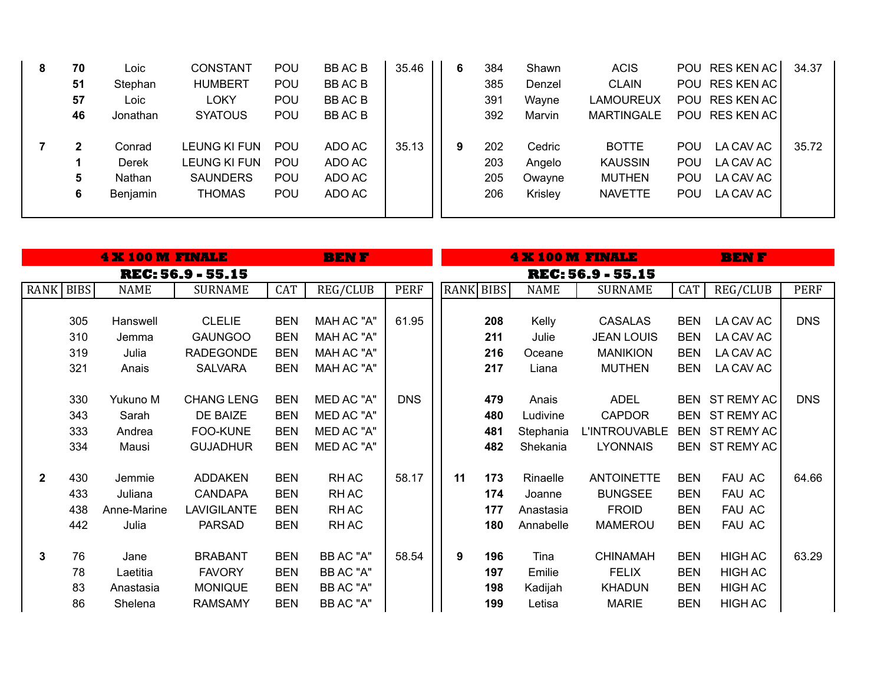| 8 | 70 | ∟oic     | <b>CONSTANT</b> | <b>POU</b> | <b>BBACB</b> | 35.46 | 6 | 384 | Shawn   | <b>ACIS</b>       |            | POU RES KEN AC | 34.37 |
|---|----|----------|-----------------|------------|--------------|-------|---|-----|---------|-------------------|------------|----------------|-------|
|   | 51 | Stephan  | <b>HUMBERT</b>  | <b>POU</b> | BB AC B      |       |   | 385 | Denzel  | <b>CLAIN</b>      |            | POU RES KEN AC |       |
|   | 57 | ∟oic     | <b>LOKY</b>     | <b>POU</b> | <b>BBACB</b> |       |   | 391 | Wayne   | <b>LAMOUREUX</b>  |            | POU RES KEN AC |       |
|   | 46 | Jonathan | <b>SYATOUS</b>  | POU        | BB AC B      |       |   | 392 | Marvin  | <b>MARTINGALE</b> |            | POU RES KEN AC |       |
|   |    |          |                 |            |              |       |   |     |         |                   |            |                |       |
|   | 2  | Conrad   | LEUNG KI FUN    | <b>POU</b> | ADO AC       | 35.13 | 9 | 202 | Cedric  | <b>BOTTE</b>      | <b>POU</b> | LA CAV AC      | 35.72 |
|   |    | Derek    | LEUNG KI FUN    | POU        | ADO AC       |       |   | 203 | Angelo  | <b>KAUSSIN</b>    | <b>POU</b> | LA CAV AC      |       |
|   | 5  | Nathan   | <b>SAUNDERS</b> | <b>POU</b> | ADO AC       |       |   | 205 | Owayne  | <b>MUTHEN</b>     | <b>POU</b> | LA CAV AC      |       |
|   | 6  | Benjamin | <b>THOMAS</b>   | POU        | ADO AC       |       |   | 206 | Krisley | <b>NAVETTE</b>    | <b>POU</b> | LA CAV AC      |       |
|   |    |          |                 |            |              |       |   |     |         |                   |            |                |       |

| <b>4 X 100 M FINALE</b><br><b>BENF</b> |           |             |                          |            |            |             |                          |           |             | <b>4 X 100 M FINALE</b> |            |                |             |  |  |
|----------------------------------------|-----------|-------------|--------------------------|------------|------------|-------------|--------------------------|-----------|-------------|-------------------------|------------|----------------|-------------|--|--|
|                                        |           |             | <b>REC: 56.9 - 55.15</b> |            |            |             | <b>REC: 56.9 - 55.15</b> |           |             |                         |            |                |             |  |  |
|                                        | RANK BIBS | <b>NAME</b> | <b>SURNAME</b>           | <b>CAT</b> | REG/CLUB   | <b>PERF</b> |                          | RANK BIBS | <b>NAME</b> | <b>SURNAME</b>          | CAT        | REG/CLUB       | <b>PERF</b> |  |  |
|                                        |           |             |                          |            |            |             |                          |           |             |                         |            |                |             |  |  |
|                                        | 305       | Hanswell    | <b>CLELIE</b>            | <b>BEN</b> | MAH AC "A" | 61.95       |                          | 208       | Kelly       | CASALAS                 | <b>BEN</b> | LA CAV AC      | <b>DNS</b>  |  |  |
|                                        | 310       | Jemma       | <b>GAUNGOO</b>           | <b>BEN</b> | MAH AC "A" |             |                          | 211       | Julie       | <b>JEAN LOUIS</b>       | <b>BEN</b> | LA CAV AC      |             |  |  |
|                                        | 319       | Julia       | <b>RADEGONDE</b>         | <b>BEN</b> | MAH AC "A" |             |                          | 216       | Oceane      | <b>MANIKION</b>         | <b>BEN</b> | LA CAV AC      |             |  |  |
|                                        | 321       | Anais       | <b>SALVARA</b>           | <b>BEN</b> | MAH AC "A" |             |                          | 217       | Liana       | <b>MUTHEN</b>           | <b>BEN</b> | LA CAV AC      |             |  |  |
|                                        |           |             |                          |            |            |             |                          |           |             |                         |            |                |             |  |  |
|                                        | 330       | Yukuno M    | <b>CHANG LENG</b>        | <b>BEN</b> | MED AC "A" | <b>DNS</b>  |                          | 479       | Anais       | <b>ADEL</b>             |            | BEN ST REMY AC | <b>DNS</b>  |  |  |
|                                        | 343       | Sarah       | DE BAIZE                 | <b>BEN</b> | MED AC "A" |             |                          | 480       | Ludivine    | <b>CAPDOR</b>           |            | BEN ST REMY AC |             |  |  |
|                                        | 333       | Andrea      | FOO-KUNE                 | <b>BEN</b> | MED AC "A" |             |                          | 481       | Stephania   | L'INTROUVABLE           |            | BEN ST REMY AC |             |  |  |
|                                        | 334       | Mausi       | <b>GUJADHUR</b>          | <b>BEN</b> | MED AC "A" |             |                          | 482       | Shekania    | <b>LYONNAIS</b>         |            | BEN ST REMY AC |             |  |  |
|                                        |           |             |                          |            |            |             |                          |           |             |                         |            |                |             |  |  |
| $\mathbf{2}$                           | 430       | Jemmie      | <b>ADDAKEN</b>           | <b>BEN</b> | RH AC      | 58.17       | 11                       | 173       | Rinaelle    | <b>ANTOINETTE</b>       | <b>BEN</b> | FAU AC         | 64.66       |  |  |
|                                        | 433       | Juliana     | <b>CANDAPA</b>           | <b>BEN</b> | RH AC      |             |                          | 174       | Joanne      | <b>BUNGSEE</b>          | <b>BEN</b> | FAU AC         |             |  |  |
|                                        | 438       | Anne-Marine | <b>LAVIGILANTE</b>       | <b>BEN</b> | RH AC      |             |                          | 177       | Anastasia   | <b>FROID</b>            | <b>BEN</b> | FAU AC         |             |  |  |
|                                        | 442       | Julia       | <b>PARSAD</b>            | <b>BEN</b> | RH AC      |             |                          | 180       | Annabelle   | <b>MAMEROU</b>          | <b>BEN</b> | FAU AC         |             |  |  |
|                                        |           |             |                          |            |            |             |                          |           |             |                         |            |                |             |  |  |
| 3                                      | 76        | Jane        | <b>BRABANT</b>           | <b>BEN</b> | BB AC "A"  | 58.54       | 9                        | 196       | Tina        | <b>CHINAMAH</b>         | <b>BEN</b> | <b>HIGH AC</b> | 63.29       |  |  |
|                                        | 78        | Laetitia    | <b>FAVORY</b>            | <b>BEN</b> | BB AC "A"  |             |                          | 197       | Emilie      | <b>FELIX</b>            | <b>BEN</b> | <b>HIGH AC</b> |             |  |  |
|                                        | 83        | Anastasia   | <b>MONIQUE</b>           | <b>BEN</b> | BB AC "A"  |             |                          | 198       | Kadijah     | <b>KHADUN</b>           | <b>BEN</b> | <b>HIGH AC</b> |             |  |  |
|                                        | 86        | Shelena     | <b>RAMSAMY</b>           | <b>BEN</b> | BB AC "A"  |             |                          | 199       | Letisa      | <b>MARIE</b>            | <b>BEN</b> | <b>HIGH AC</b> |             |  |  |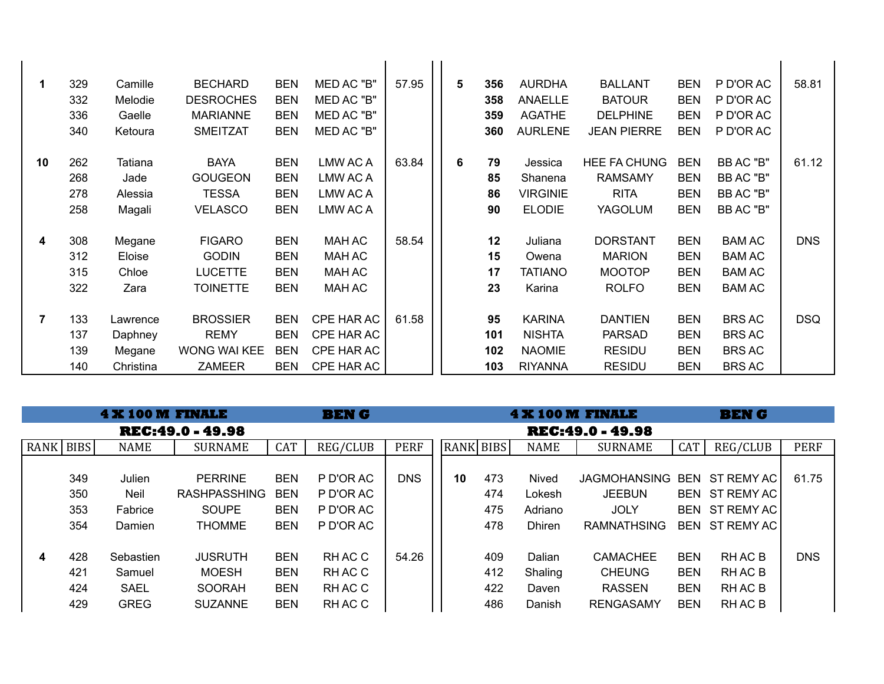| $\mathbf 1$ | 329<br>332<br>336<br>340 | Camille<br>Melodie<br>Gaelle<br>Ketoura    | <b>BECHARD</b><br><b>DESROCHES</b><br><b>MARIANNE</b><br><b>SMEITZAT</b> | <b>BEN</b><br><b>BEN</b><br><b>BEN</b><br><b>BEN</b> | MED AC "B"<br>MED AC "B"<br>MED AC "B"<br>MED AC "B" | 57.95 | 5 | 356<br>358<br>359<br>360 | <b>AURDHA</b><br><b>ANAELLE</b><br><b>AGATHE</b><br><b>AURLENE</b> | <b>BALLANT</b><br><b>BATOUR</b><br><b>DELPHINE</b><br><b>JEAN PIERRE</b> | <b>BEN</b><br><b>BEN</b><br><b>BEN</b><br><b>BEN</b> | P D'OR AC<br>P D'OR AC<br>P D'OR AC<br>P D'OR AC                 | 58.81      |
|-------------|--------------------------|--------------------------------------------|--------------------------------------------------------------------------|------------------------------------------------------|------------------------------------------------------|-------|---|--------------------------|--------------------------------------------------------------------|--------------------------------------------------------------------------|------------------------------------------------------|------------------------------------------------------------------|------------|
| 10          | 262<br>268<br>278<br>258 | Tatiana<br>Jade<br>Alessia<br>Magali       | <b>BAYA</b><br><b>GOUGEON</b><br><b>TESSA</b><br><b>VELASCO</b>          | <b>BEN</b><br><b>BEN</b><br><b>BEN</b><br><b>BEN</b> | LMW AC A<br>LMW AC A<br>LMW AC A<br>LMW AC A         | 63.84 | 6 | 79<br>85<br>86<br>90     | Jessica<br>Shanena<br><b>VIRGINIE</b><br><b>ELODIE</b>             | <b>HEE FA CHUNG</b><br><b>RAMSAMY</b><br><b>RITA</b><br>YAGOLUM          | <b>BEN</b><br><b>BEN</b><br><b>BEN</b><br><b>BEN</b> | BB AC "B"<br>BB AC "B"<br>BB AC "B"<br>BB AC "B"                 | 61.12      |
| 4           | 308<br>312<br>315<br>322 | Megane<br>Eloise<br>Chloe<br>Zara          | <b>FIGARO</b><br><b>GODIN</b><br><b>LUCETTE</b><br><b>TOINETTE</b>       | <b>BEN</b><br><b>BEN</b><br><b>BEN</b><br><b>BEN</b> | <b>MAH AC</b><br>MAH AC<br>MAH AC<br>MAH AC          | 58.54 |   | 12<br>15<br>17<br>23     | Juliana<br>Owena<br><b>TATIANO</b><br>Karina                       | <b>DORSTANT</b><br><b>MARION</b><br><b>MOOTOP</b><br><b>ROLFO</b>        | <b>BEN</b><br><b>BEN</b><br><b>BEN</b><br><b>BEN</b> | <b>BAM AC</b><br><b>BAM AC</b><br><b>BAM AC</b><br><b>BAM AC</b> | <b>DNS</b> |
| 7           | 133<br>137<br>139<br>140 | Lawrence<br>Daphney<br>Megane<br>Christina | <b>BROSSIER</b><br><b>REMY</b><br><b>WONG WAI KEE</b><br><b>ZAMEER</b>   | <b>BEN</b><br><b>BEN</b><br><b>BEN</b><br><b>BEN</b> | CPE HAR AC<br>CPE HAR AC<br>CPE HAR AC<br>CPE HAR AC | 61.58 |   | 95<br>101<br>102<br>103  | <b>KARINA</b><br><b>NISHTA</b><br><b>NAOMIE</b><br><b>RIYANNA</b>  | <b>DANTIEN</b><br><b>PARSAD</b><br><b>RESIDU</b><br><b>RESIDU</b>        | <b>BEN</b><br><b>BEN</b><br><b>BEN</b><br><b>BEN</b> | <b>BRS AC</b><br><b>BRS AC</b><br><b>BRS AC</b><br><b>BRS AC</b> | <b>DSQ</b> |

|             |     | <b>4 X 100 M FINALE</b> |                         | <b>BEN G</b> |           |             |                         |           |     | <b>4 X 100 M FINALE</b> | <b>BENG</b>         |            |                |             |  |
|-------------|-----|-------------------------|-------------------------|--------------|-----------|-------------|-------------------------|-----------|-----|-------------------------|---------------------|------------|----------------|-------------|--|
|             |     |                         | <b>REC:49.0 - 49.98</b> |              |           |             | <b>REC:49.0 - 49.98</b> |           |     |                         |                     |            |                |             |  |
| RANK   BIBS |     | <b>NAME</b>             | <b>SURNAME</b>          | <b>CAT</b>   | REG/CLUB  | <b>PERF</b> |                         | RANK BIBS |     | <b>NAME</b>             | <b>SURNAME</b>      | <b>CAT</b> | REG/CLUB       | <b>PERF</b> |  |
|             |     |                         |                         |              |           |             |                         |           |     |                         |                     |            |                |             |  |
|             | 349 | Julien                  | <b>PERRINE</b>          | <b>BEN</b>   | P D'OR AC | <b>DNS</b>  |                         | 10        | 473 | Nived                   | <b>JAGMOHANSING</b> |            | BEN ST REMY AC | 61.75       |  |
|             | 350 | Neil                    | <b>RASHPASSHING</b>     | <b>BEN</b>   | P D'OR AC |             |                         |           | 474 | Lokesh                  | <b>JEEBUN</b>       |            | BEN ST REMY AC |             |  |
|             | 353 | Fabrice                 | <b>SOUPE</b>            | <b>BEN</b>   | P D'OR AC |             |                         |           | 475 | Adriano                 | <b>JOLY</b>         |            | BEN ST REMY AC |             |  |
|             | 354 | Damien                  | <b>THOMME</b>           | <b>BEN</b>   | P D'OR AC |             |                         |           | 478 | <b>Dhiren</b>           | <b>RAMNATHSING</b>  |            | BEN ST REMY AC |             |  |
|             |     |                         |                         |              |           |             |                         |           |     |                         |                     |            |                |             |  |
| 4           | 428 | Sebastien               | <b>JUSRUTH</b>          | <b>BEN</b>   | RH AC C   | 54.26       |                         |           | 409 | Dalian                  | <b>CAMACHEE</b>     | <b>BEN</b> | RH AC B        | <b>DNS</b>  |  |
|             | 421 | Samuel                  | MOESH                   | <b>BEN</b>   | RH AC C   |             |                         |           | 412 | Shaling                 | <b>CHEUNG</b>       | <b>BEN</b> | RH AC B        |             |  |
|             | 424 | <b>SAEL</b>             | <b>SOORAH</b>           | <b>BEN</b>   | RH AC C   |             |                         |           | 422 | Daven                   | <b>RASSEN</b>       | <b>BEN</b> | RH AC B        |             |  |
|             | 429 | <b>GREG</b>             | <b>SUZANNE</b>          | <b>BEN</b>   | RH AC C   |             |                         |           | 486 | Danish                  | <b>RENGASAMY</b>    | <b>BEN</b> | RH AC B        |             |  |